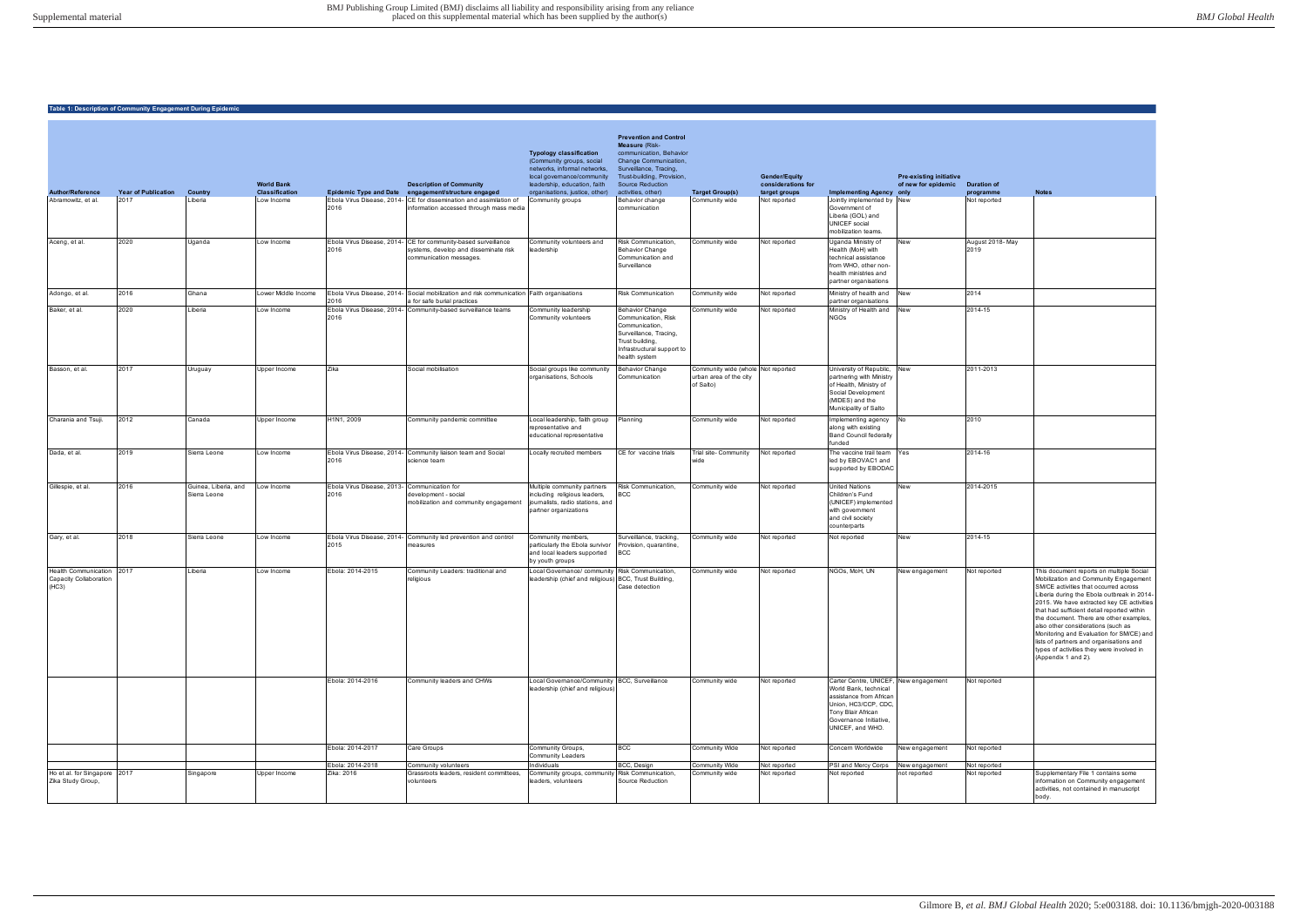| <b>Author/Reference</b>                                      | <b>Year of Publication</b> | Country                              | <b>World Bank</b><br><b>Classification</b> | <b>Epidemic Type and Date</b>      | <b>Description of Community</b><br>engagement/structure engaged                                                                    | <b>Typology classification</b><br>(Community groups, social<br>networks, informal networks,<br>local governance/community<br>leadership, education, faith<br>organisations, justice, other) | <b>Prevention and Control</b><br><b>Measure (Risk-</b><br>communication, Behavior<br>Change Communication,<br>Surveillance, Tracing,<br>Trust-building, Provision,<br><b>Source Reduction</b><br>activities, other) | <b>Target Group(s)</b>                                                    | <b>Gender/Equity</b><br>considerations for<br>target groups | <b>Implementing Agency only</b>                                                                                                                                                       | <b>Pre-existing initiative</b><br>of new for epidemic | <b>Duration of</b><br>programme | <b>Notes</b>                                                                                                                                                                                                                                                                                                                                                                                                                                                                                              |
|--------------------------------------------------------------|----------------------------|--------------------------------------|--------------------------------------------|------------------------------------|------------------------------------------------------------------------------------------------------------------------------------|---------------------------------------------------------------------------------------------------------------------------------------------------------------------------------------------|---------------------------------------------------------------------------------------------------------------------------------------------------------------------------------------------------------------------|---------------------------------------------------------------------------|-------------------------------------------------------------|---------------------------------------------------------------------------------------------------------------------------------------------------------------------------------------|-------------------------------------------------------|---------------------------------|-----------------------------------------------------------------------------------------------------------------------------------------------------------------------------------------------------------------------------------------------------------------------------------------------------------------------------------------------------------------------------------------------------------------------------------------------------------------------------------------------------------|
| Abramowitz, et al.                                           | 2017                       | Liberia                              | Low Income                                 | Ebola Virus Disease, 2014-<br>2016 | CE for dissemination and assimilation of<br>information accessed through mass media                                                | Community groups                                                                                                                                                                            | Behavior change<br>communication                                                                                                                                                                                    | Community wide                                                            | Not reported                                                | Jointly implemented by New<br>Government of<br>Liberia (GOL) and<br><b>UNICEF</b> social<br>mobilization teams.                                                                       |                                                       | Not reported                    |                                                                                                                                                                                                                                                                                                                                                                                                                                                                                                           |
| Aceng, et al.                                                | 2020                       | Uganda                               | Low Income                                 | 2016                               | Ebola Virus Disease, 2014- CE for community-based surveillance<br>systems, develop and disseminate risk<br>communication messages. | Community volunteers and<br>leadership                                                                                                                                                      | Risk Communication,<br>Behavior Change<br>Communication and<br>Surveillance                                                                                                                                         | Community wide                                                            | Not reported                                                | Uganda Ministry of<br>Health (MoH) with<br>technical assistance<br>from WHO, other non-<br>health ministries and<br>partner organisations                                             | New                                                   | August 2018-May<br>2019         |                                                                                                                                                                                                                                                                                                                                                                                                                                                                                                           |
| Adongo, et al.                                               | 2016                       | Ghana                                | Lower Middle Income                        | 2016                               | Ebola Virus Disease, 2014- Social mobilization and risk communication Faith organisations<br>a for safe burial practices           |                                                                                                                                                                                             | <b>Risk Communication</b>                                                                                                                                                                                           | Community wide                                                            | Not reported                                                | Ministry of health and<br>partner organisations                                                                                                                                       | <b>New</b>                                            | 2014                            |                                                                                                                                                                                                                                                                                                                                                                                                                                                                                                           |
| Baker, et al.                                                | 2020                       | Liberia                              | Low Income                                 | 2016                               | Ebola Virus Disease, 2014- Community-based surveillance teams                                                                      | Community leadership<br>Community volunteers                                                                                                                                                | Behavior Change<br>Communication, Risk<br>Communication,<br>Surveillance, Tracing,<br>Trust building,<br>Infrastructural support to<br>health system                                                                | Community wide                                                            | Not reported                                                | Ministry of Health and<br><b>NGOs</b>                                                                                                                                                 | New                                                   | 2014-15                         |                                                                                                                                                                                                                                                                                                                                                                                                                                                                                                           |
| Basson, et al.                                               | 2017                       | Uruguay                              | Upper Income                               | Zika                               | Social mobilisation                                                                                                                | Social groups like community<br>organisations, Schools                                                                                                                                      | <b>Behavior Change</b><br>Communication                                                                                                                                                                             | Community wide (whole Not reported<br>urban area of the city<br>of Salto) |                                                             | University of Republic,<br>partnering with Ministry<br>of Health, Ministry of<br>Social Development<br>(MIDES) and the<br>Municipality of Salto                                       | <b>New</b>                                            | 2011-2013                       |                                                                                                                                                                                                                                                                                                                                                                                                                                                                                                           |
| Charania and Tsuji.                                          | 2012                       | Canada                               | Upper Income                               | H1N1, 2009                         | Community pandemic committee                                                                                                       | Local leadership, faith group<br>representative and<br>educational representative                                                                                                           | Planning                                                                                                                                                                                                            | Community wide                                                            | Not reported                                                | Implementing agency<br>along with existing<br><b>Band Council federally</b><br>funded                                                                                                 | <b>No</b>                                             | 2010                            |                                                                                                                                                                                                                                                                                                                                                                                                                                                                                                           |
| Dada, et al.                                                 | 2019                       | Sierra Leone                         | Low Income                                 | 2016                               | Ebola Virus Disease, 2014- Community liaison team and Social<br>science team                                                       | Locally recruited members                                                                                                                                                                   | CE for vaccine trials                                                                                                                                                                                               | Trial site- Community<br>wide                                             | Not reported                                                | The vaccine trail team<br>led by EBOVAC1 and<br>supported by EBODAC                                                                                                                   | Yes                                                   | 2014-16                         |                                                                                                                                                                                                                                                                                                                                                                                                                                                                                                           |
| Gillespie, et al.                                            | 2016                       | Guinea, Liberia, and<br>Sierra Leone | Low Income                                 | Ebola Virus Disease, 2013-<br>2016 | Communication for<br>development - social<br>mobilization and community engagement                                                 | Multiple community partners<br>including religious leaders,<br>journalists, radio stations, and<br>partner organizations                                                                    | Risk Communication,<br>BCC                                                                                                                                                                                          | Community wide                                                            | Not reported                                                | <b>United Nations</b><br>Children's Fund<br>(UNICEF) implemented<br>with government<br>and civil society<br>counterparts                                                              | New                                                   | 2014-2015                       |                                                                                                                                                                                                                                                                                                                                                                                                                                                                                                           |
| Gary, et al.                                                 | 2018                       | Sierra Leone                         | Low Income                                 | Ebola Virus Disease, 2014-<br>2015 | Community led prevention and control<br>measures                                                                                   | Community members,<br>particularly the Ebola survivor<br>and local leaders supported<br>by youth groups                                                                                     | Surveillance, tracking,<br>Provision, quarantine,<br><b>BCC</b>                                                                                                                                                     | Community wide                                                            | Not reported                                                | Not reported                                                                                                                                                                          | New                                                   | 2014-15                         |                                                                                                                                                                                                                                                                                                                                                                                                                                                                                                           |
| Health Communication 2017<br>Capacity Collaboration<br>(HC3) |                            | Liberia                              | Low Income                                 | Ebola: 2014-2015                   | Community Leaders: traditional and<br>religious                                                                                    | Local Governance/ community Risk Communication,<br>leadership (chief and religious) BCC, Trust Building,                                                                                    | Case detection                                                                                                                                                                                                      | Community wide                                                            | Not reported                                                | NGOs, MoH, UN                                                                                                                                                                         | New engagement                                        | Not reported                    | This document reports on multiple Social<br>Mobilization and Community Engagemen<br>SM/CE activities that occurred across<br>Liberia during the Ebola outbreak in 201<br>2015. We have extracted key CE activitie<br>that had sufficient detail reported within<br>the document. There are other examples<br>also other considerations (such as<br>Monitoring and Evaluation for SM/CE) an<br>lists of partners and organisations and<br>types of activities they were involved in<br>(Appendix 1 and 2). |
|                                                              |                            |                                      |                                            | Ebola: 2014-2016                   | Community leaders and CHWs                                                                                                         | Local Governance/Community BCC, Surveillance<br>leadership (chief and religious)                                                                                                            |                                                                                                                                                                                                                     | Community wide                                                            | Not reported                                                | Carter Centre, UNICEF, New engagement<br>World Bank, technical<br>assistance from African<br>Union, HC3/CCP, CDC,<br>Tony Blair African<br>Governance Initiative,<br>UNICEF, and WHO. |                                                       | Not reported                    |                                                                                                                                                                                                                                                                                                                                                                                                                                                                                                           |
|                                                              |                            |                                      |                                            | Ebola: 2014-2017                   | Care Groups                                                                                                                        | Community Groups,<br>Community Leaders                                                                                                                                                      | BCC                                                                                                                                                                                                                 | Community Wide                                                            | Not reported                                                | Concern Worldwide                                                                                                                                                                     | New engagement                                        | Not reported                    |                                                                                                                                                                                                                                                                                                                                                                                                                                                                                                           |
|                                                              |                            |                                      |                                            | Ebola: 2014-2018                   | Community volunteers                                                                                                               | Individuals                                                                                                                                                                                 | BCC, Design                                                                                                                                                                                                         | Community Wide                                                            | Not reported                                                | PSI and Mercy Corps                                                                                                                                                                   | New engagement                                        | Not reported                    |                                                                                                                                                                                                                                                                                                                                                                                                                                                                                                           |
| Ho et al. for Singapore 2017<br>Zika Study Group,            |                            | Singapore                            | Upper Income                               | Zika: 2016                         | Grassroots leaders, resident committees,<br>volunteers                                                                             | Community groups, community Risk Communication,<br>leaders, volunteers                                                                                                                      | Source Reduction                                                                                                                                                                                                    | Community wide                                                            | Not reported                                                | Not reported                                                                                                                                                                          | not reported                                          | Not reported                    | Supplementary File 1 contains some<br>information on Community engagement<br>activities, not contained in manuscript<br>body.                                                                                                                                                                                                                                                                                                                                                                             |

| <b>Duration of</b>           |                                                                                         |
|------------------------------|-----------------------------------------------------------------------------------------|
| programme<br>Not reported    | <b>Notes</b>                                                                            |
|                              |                                                                                         |
|                              |                                                                                         |
|                              |                                                                                         |
| August 2018-May              |                                                                                         |
| 2019                         |                                                                                         |
|                              |                                                                                         |
|                              |                                                                                         |
| $\overline{2}014$            |                                                                                         |
|                              |                                                                                         |
| 2014-15                      |                                                                                         |
|                              |                                                                                         |
|                              |                                                                                         |
|                              |                                                                                         |
|                              |                                                                                         |
| 2011-2013                    |                                                                                         |
|                              |                                                                                         |
|                              |                                                                                         |
|                              |                                                                                         |
| 2010                         |                                                                                         |
|                              |                                                                                         |
|                              |                                                                                         |
| 2014-16                      |                                                                                         |
|                              |                                                                                         |
|                              |                                                                                         |
| 2014-2015                    |                                                                                         |
|                              |                                                                                         |
|                              |                                                                                         |
|                              |                                                                                         |
| 2014-15                      |                                                                                         |
|                              |                                                                                         |
|                              |                                                                                         |
| Not reported                 | This document reports on multiple Social                                                |
|                              | Mobilization and Community Engagement<br>SM/CE activities that occurred across          |
|                              | Liberia during the Ebola outbreak in 2014-                                              |
|                              | 2015. We have extracted key CE activities<br>that had sufficient detail reported within |
|                              | the document. There are other examples,                                                 |
|                              | also other considerations (such as<br>Monitoring and Evaluation for SM/CE) and          |
|                              | lists of partners and organisations and                                                 |
|                              | types of activities they were involved in<br>(Appendix 1 and 2).                        |
|                              |                                                                                         |
| Not reported                 |                                                                                         |
|                              |                                                                                         |
|                              |                                                                                         |
|                              |                                                                                         |
|                              |                                                                                         |
|                              |                                                                                         |
| Not reported                 |                                                                                         |
|                              |                                                                                         |
| Not reported<br>Not reported | Supplementary File 1 contains some                                                      |
|                              | information on Community engagement                                                     |
|                              | activities, not contained in manuscript<br>body.                                        |
|                              |                                                                                         |

## **Table 1: Description of Community Engagement During Epidemic**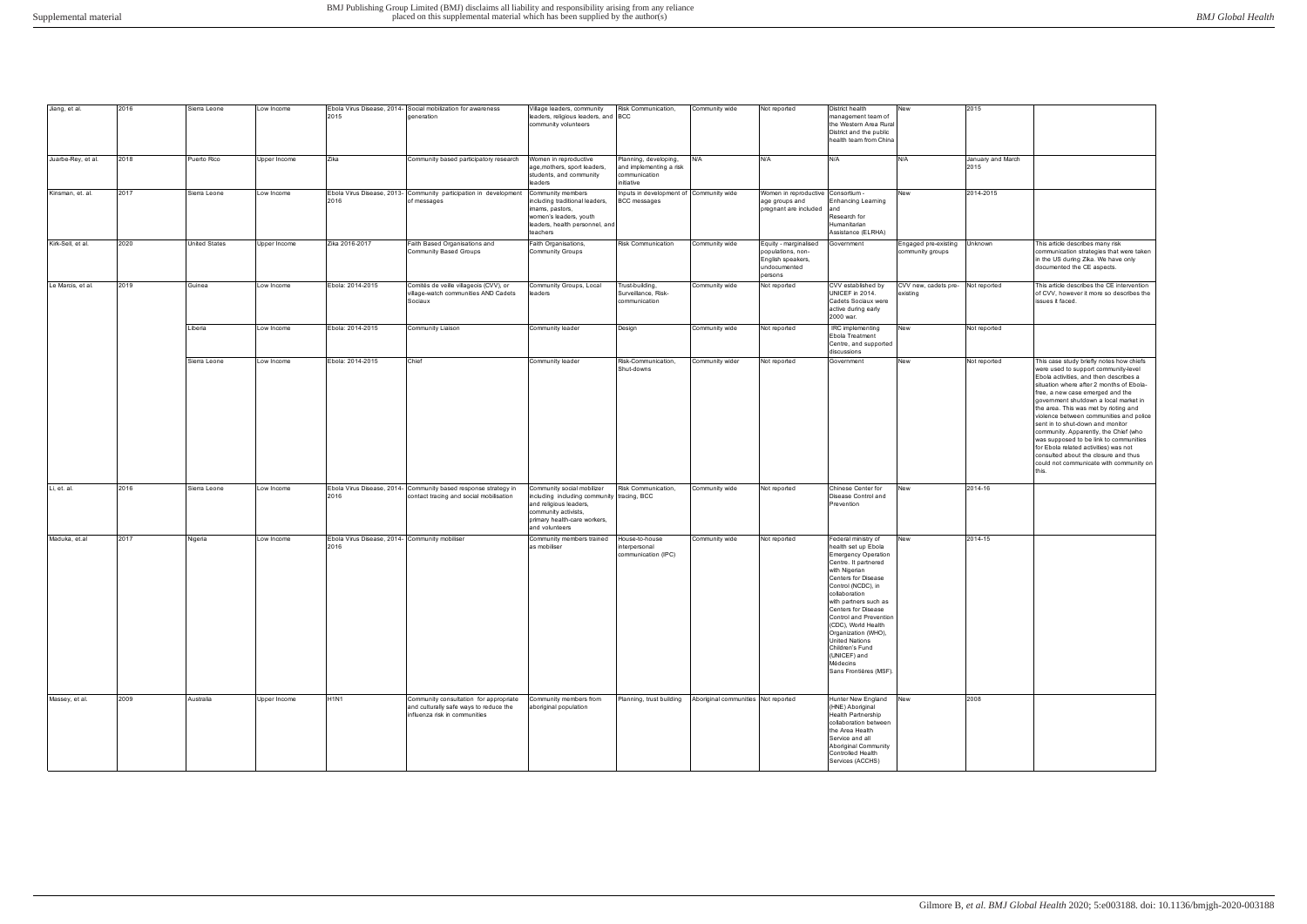| Jiang, et al.      | 2016 | Sierra Leone         | Low Income   |                                                        | Ebola Virus Disease, 2014- Social mobilization for awareness                                                      | /illage leaders, community                                                                                                                                                   | Risk Communication,                                                             | Community wide  | Not reported                                                                               | District health                                                                                                                                                                                                                                                                                                                                                                                           | New                                      | 2015                      |                                                                                                                                                                                                                                                                                                                                                                                                                                                                                                                                                                                                     |
|--------------------|------|----------------------|--------------|--------------------------------------------------------|-------------------------------------------------------------------------------------------------------------------|------------------------------------------------------------------------------------------------------------------------------------------------------------------------------|---------------------------------------------------------------------------------|-----------------|--------------------------------------------------------------------------------------------|-----------------------------------------------------------------------------------------------------------------------------------------------------------------------------------------------------------------------------------------------------------------------------------------------------------------------------------------------------------------------------------------------------------|------------------------------------------|---------------------------|-----------------------------------------------------------------------------------------------------------------------------------------------------------------------------------------------------------------------------------------------------------------------------------------------------------------------------------------------------------------------------------------------------------------------------------------------------------------------------------------------------------------------------------------------------------------------------------------------------|
|                    |      |                      |              | 2015                                                   | generation                                                                                                        | leaders, religious leaders, and BCC<br>community volunteers                                                                                                                  |                                                                                 |                 |                                                                                            | management team of<br>the Western Area Rural<br>District and the public<br>health team from China                                                                                                                                                                                                                                                                                                         |                                          |                           |                                                                                                                                                                                                                                                                                                                                                                                                                                                                                                                                                                                                     |
| Juarbe-Rey, et al. | 2018 | Puerto Rico          | Upper Income | Zika                                                   | Community based participatory research                                                                            | Vomen in reproductive<br>age, mothers, sport leaders,<br>students, and community<br>leaders                                                                                  | Planning, developing,<br>and implementing a risk<br>communication<br>initiative | N/A             | N/A                                                                                        | N/A                                                                                                                                                                                                                                                                                                                                                                                                       | N/A                                      | January and March<br>2015 |                                                                                                                                                                                                                                                                                                                                                                                                                                                                                                                                                                                                     |
| Kinsman, et. al.   | 2017 | Sierra Leone         | Low Income   | Ebola Virus Disease, 2013-<br>2016                     | Community participation in development<br>of messages                                                             | Community members<br>ncluding traditional leaders,<br>imams, pastors,<br>women's leaders, youth<br>leaders, health personnel, and<br>teachers                                | Inputs in development of Community wide<br><b>BCC</b> messages                  |                 | Women in reproductive Consortium -<br>age groups and<br>pregnant are included              | <b>Enhancing Learning</b><br>and<br>Research for<br>Humanitarian<br>Assistance (ELRHA)                                                                                                                                                                                                                                                                                                                    | <b>New</b>                               | 2014-2015                 |                                                                                                                                                                                                                                                                                                                                                                                                                                                                                                                                                                                                     |
| Kirk-Sell, et al.  | 2020 | <b>United States</b> | Upper Income | Zika 2016-2017                                         | Faith Based Organisations and<br>Community Based Groups                                                           | Faith Organisations,<br><b>Community Groups</b>                                                                                                                              | <b>Risk Communication</b>                                                       | Community wide  | Equity - marginalised<br>populations, non-<br>English speakers,<br>undocumented<br>persons | Government                                                                                                                                                                                                                                                                                                                                                                                                | Engaged pre-existing<br>community groups | Unknown                   | This article describes many risk<br>communication strategies that were taken<br>in the US during Zika. We have only<br>documented the CE aspects.                                                                                                                                                                                                                                                                                                                                                                                                                                                   |
| Le Marcis, et al.  | 2019 | Guinea               | Low Income   | Ebola: 2014-2015                                       | Comités de veille villageois (CVV), or<br>village-watch communities AND Cadets<br>Sociaux                         | Community Groups, Local<br>eaders                                                                                                                                            | Trust-building,<br>Surveillance, Risk-<br>communication                         | Community wide  | Not reported                                                                               | CVV established by<br>UNICEF in 2014.<br>Cadets Sociaux were<br>active during early<br>2000 war.                                                                                                                                                                                                                                                                                                          | CVV new, cadets pre-<br>existing         | Not reported              | This article describes the CE intervention<br>of CVV, however it more so describes the<br>issues it faced.                                                                                                                                                                                                                                                                                                                                                                                                                                                                                          |
|                    |      | Liberia              | Low Income   | Ebola: 2014-2015                                       | Community Liaison                                                                                                 | Community leader                                                                                                                                                             | Design                                                                          | Community wide  | Not reported                                                                               | IRC implementing<br>Ebola Treatment<br>Centre, and supported<br>discussions                                                                                                                                                                                                                                                                                                                               | New                                      | Not reported              |                                                                                                                                                                                                                                                                                                                                                                                                                                                                                                                                                                                                     |
|                    |      | Sierra Leone         | Low Income   | Ebola: 2014-2015                                       | Chief                                                                                                             | Community leader                                                                                                                                                             | Risk-Communication,<br>Shut-downs                                               | Community wider | Not reported                                                                               | Government                                                                                                                                                                                                                                                                                                                                                                                                | New                                      | Not reported              | This case study briefly notes how chiefs<br>were used to support community-level<br>Ebola activities, and then describes a<br>situation where after 2 months of Ebola-<br>free, a new case emerged and the<br>government shutdown a local market in<br>the area. This was met by rioting and<br>violence between communities and police<br>sent in to shut-down and monitor<br>community. Apparently, the Chief (who<br>was supposed to be link to communities<br>for Ebola related activities) was not<br>consulted about the closure and thus<br>could not communicate with community on<br>this. |
| Li, et. al.        | 2016 | Sierra Leone         | Low Income   | Ebola Virus Disease, 2014-<br>2016                     | Community based response strategy in<br>contact tracing and social mobilisation                                   | Community social mobilizer<br>including including community tracing, BCC<br>and religious leaders,<br>community activists,<br>primary health-care workers,<br>and volunteers | Risk Communication,                                                             | Community wide  | Not reported                                                                               | Chinese Center for<br>Disease Control and<br>Prevention                                                                                                                                                                                                                                                                                                                                                   | New                                      | 2014-16                   |                                                                                                                                                                                                                                                                                                                                                                                                                                                                                                                                                                                                     |
| Maduka, et.al      | 2017 | Nigeria              | Low Income   | Ebola Virus Disease, 2014- Community mobiliser<br>2016 |                                                                                                                   | Community members trained<br>as mobiliser                                                                                                                                    | House-to-house<br>interpersonal<br>communication (IPC)                          | Community wide  | Not reported                                                                               | Federal ministry of<br>health set up Ebola<br><b>Emergency Operation</b><br>Centre. It partnered<br>with Nigerian<br>Centers for Disease<br>Control (NCDC), in<br>collaboration<br>with partners such as<br>Centers for Disease<br>Control and Prevention<br>(CDC), World Health<br>Organization (WHO),<br><b>United Nations</b><br>Children's Fund<br>(UNICEF) and<br>Médecins<br>Sans Frontières (MSF). | New                                      | 2014-15                   |                                                                                                                                                                                                                                                                                                                                                                                                                                                                                                                                                                                                     |
| Massey, et al.     | 2009 | Australia            | Upper Income | <b>H1N1</b>                                            | Community consultation for appropriate<br>and culturally safe ways to reduce the<br>influenza risk in communities | Community members from<br>aboriginal population                                                                                                                              | Planning, trust building Aboriginal communities Not reported                    |                 |                                                                                            | Hunter New England<br>(HNE) Aboriginal<br>Health Partnership<br>collaboration between<br>the Area Health<br>Service and all<br>Aboriginal Community<br>Controlled Health<br>Services (ACCHS)                                                                                                                                                                                                              | New                                      | 2008                      |                                                                                                                                                                                                                                                                                                                                                                                                                                                                                                                                                                                                     |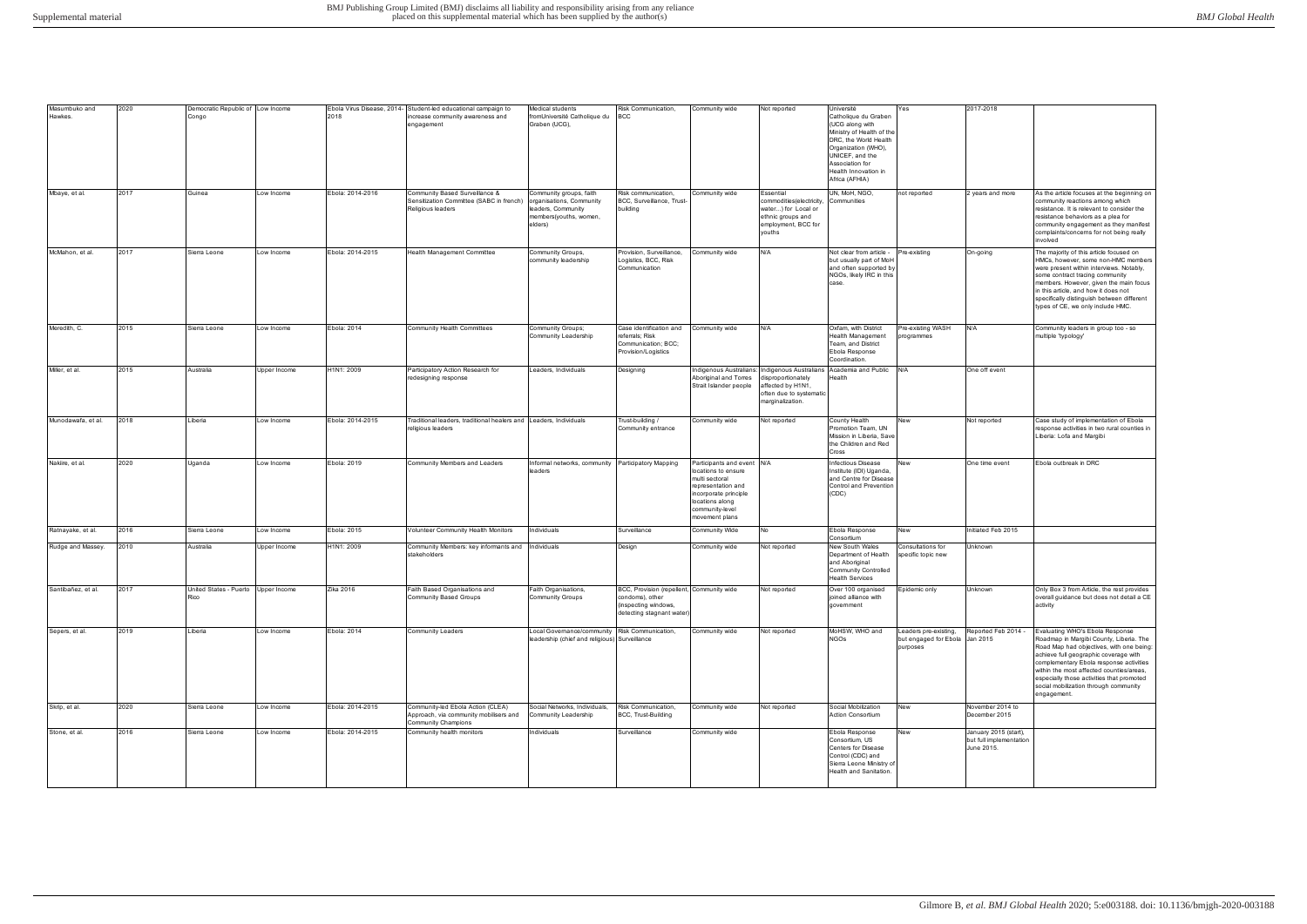| Masumbuko and      | 2020 | Democratic Republic of Low Income           |              |                  | Ebola Virus Disease, 2014- Student-led educational campaign to                                            | Medical students                                                                                               | Risk Communication,                                                                                               | Community wide                                                                                                                                                             | Not reported                                                                                                                                                 | Université                                                                                                                                                                                           | Yes                                                                 | 2017-2018                                                      |                                                                                                                                                                                                                                                                                                                                                             |
|--------------------|------|---------------------------------------------|--------------|------------------|-----------------------------------------------------------------------------------------------------------|----------------------------------------------------------------------------------------------------------------|-------------------------------------------------------------------------------------------------------------------|----------------------------------------------------------------------------------------------------------------------------------------------------------------------------|--------------------------------------------------------------------------------------------------------------------------------------------------------------|------------------------------------------------------------------------------------------------------------------------------------------------------------------------------------------------------|---------------------------------------------------------------------|----------------------------------------------------------------|-------------------------------------------------------------------------------------------------------------------------------------------------------------------------------------------------------------------------------------------------------------------------------------------------------------------------------------------------------------|
| Hawkes.            |      | Congo                                       |              | 2018             | increase community awareness and<br>engagement                                                            | romUniversité Catholique du<br>Graben (UCG),                                                                   | <b>BCC</b>                                                                                                        |                                                                                                                                                                            |                                                                                                                                                              | Catholique du Graben<br>(UCG along with<br>Ministry of Health of the<br>DRC, the World Health<br>Organization (WHO),<br>UNICEF, and the<br>Association for<br>Health Innovation in<br>Africa (AFHIA) |                                                                     |                                                                |                                                                                                                                                                                                                                                                                                                                                             |
| Mbaye, et al.      | 2017 | Guinea                                      | Low Income   | Ebola: 2014-2016 | Community Based Surveillance &<br>Sensitization Committee (SABC in french)<br>Religious leaders           | Community groups, faith<br>organisations, Community<br>leaders, Community<br>members(youths, women,<br>elders) | Risk communication,<br>BCC, Surveillance, Trust-<br>building                                                      | Community wide                                                                                                                                                             | Essential<br>commodities(electricity,<br>water) for Local or<br>ethnic groups and<br>employment, BCC for<br>youths                                           | UN, MoH, NGO,<br>Communities                                                                                                                                                                         | not reported                                                        | 2 years and more                                               | As the article focuses at the beginning on<br>community reactions among which<br>resistance. It is relevant to consider the<br>resistance behaviors as a plea for<br>community engagement as they manifest<br>complaints/concerns for not being really<br>involved                                                                                          |
| McMahon, et al.    | 2017 | Sierra Leone                                | Low Income   | Ebola: 2014-2015 | Health Management Committee                                                                               | Community Groups,<br>community leadership                                                                      | Provision, Surveillance,<br>Logistics, BCC, Risk<br>Communication                                                 | Community wide                                                                                                                                                             | N/A                                                                                                                                                          | Not clear from article -<br>but usually part of MoH<br>and often supported by<br>NGOs, likely IRC in this<br>case.                                                                                   | Pre-existing                                                        | On-going                                                       | The majority of this article focused on<br>HMCs, however, some non-HMC members<br>were present within interviews. Notably,<br>some contract tracing community<br>members. However, given the main focus<br>in this article, and how it does not<br>specifically distinguish between different<br>types of CE, we only include HMC.                          |
| Meredith, C.       | 2015 | Sierra Leone                                | Low Income   | Ebola: 2014      | Community Health Committees                                                                               | Community Groups;<br>Community Leadership                                                                      | Case identification and<br>referrals; Risk<br>Communication; BCC;<br>Provision/Logistics                          | Community wide                                                                                                                                                             | N/A                                                                                                                                                          | Oxfam, with District<br>Health Management<br>Team, and District<br>Ebola Response<br>Coordination.                                                                                                   | Pre-existing WASH<br>programmes                                     | N/A                                                            | Community leaders in group too - so<br>multiple 'typology'                                                                                                                                                                                                                                                                                                  |
| Miller, et al.     | 2015 | Australia                                   | Upper Income | H1N1: 2009       | Participatory Action Research for<br>redesigning response                                                 | Leaders, Individuals                                                                                           | Designing                                                                                                         | Aboriginal and Torres<br>Strait Islander people                                                                                                                            | Indigenous Australians: Indigenous Australians Academia and Public<br>lisproportionately<br>affected by H1N1,<br>often due to systematic<br>marginalization. | Health                                                                                                                                                                                               | N/A                                                                 | One off event                                                  |                                                                                                                                                                                                                                                                                                                                                             |
| Munodawafa, et al. | 2018 | Liberia                                     | Low Income   | Ebola: 2014-2015 | Traditional leaders, traditional healers and<br>religious leaders                                         | Leaders, Individuals                                                                                           | Trust-building /<br>Community entrance                                                                            | Community wide                                                                                                                                                             | Not reported                                                                                                                                                 | County Health<br>Promotion Team, UN<br>Mission in Liberia, Save<br>the Children and Red<br>Cross                                                                                                     | New                                                                 | Not reported                                                   | Case study of implementation of Ebola<br>response activities in two rural counties in<br>Liberia: Lofa and Margibi                                                                                                                                                                                                                                          |
| Nakiire, et al.    | 2020 | Uganda                                      | Low Income   | Ebola: 2019      | Community Members and Leaders                                                                             | nformal networks, community Participatory Mapping<br>leaders                                                   |                                                                                                                   | Participants and event N/A<br>locations to ensure<br>multi sectoral<br>representation and<br>incorporate principle<br>locations along<br>community-level<br>movement plans |                                                                                                                                                              | nfectious Disease<br>Institute (IDI) Uganda,<br>and Centre for Disease<br>Control and Prevention<br>(CDC)                                                                                            | New                                                                 | One time event                                                 | Ebola outbreak in DRC                                                                                                                                                                                                                                                                                                                                       |
| Ratnayake, et al.  | 2016 | Sierra Leone                                | Low Income   | Ebola: 2015      | Volunteer Community Health Monitors                                                                       | Individuals                                                                                                    | Surveillance                                                                                                      | Community Wide                                                                                                                                                             | No                                                                                                                                                           | Ebola Response<br>Consortium                                                                                                                                                                         | New                                                                 | Initiated Feb 2015                                             |                                                                                                                                                                                                                                                                                                                                                             |
| Rudge and Massey.  | 2010 | Australia                                   | Upper Income | H1N1: 2009       | Community Members: key informants and<br>stakeholders                                                     | Individuals                                                                                                    | Design                                                                                                            | Community wide                                                                                                                                                             | Not reported                                                                                                                                                 | New South Wales<br>Department of Health<br>and Aboriginal<br>Community Controlled<br><b>Health Services</b>                                                                                          | Consultations for<br>specific topic new                             | Unknown                                                        |                                                                                                                                                                                                                                                                                                                                                             |
| Santibañez, et al. | 2017 | United States - Puerto Upper Income<br>≺ιco |              | Zika 2016        | Faith Based Organisations and<br>Community Based Groups                                                   | Faith Organisations,<br>ommunity Groupsت                                                                       | BCC, Provision (repellent, Community wide<br>condoms), otner<br>(inspecting windows,<br>detecting stagnant water) |                                                                                                                                                                            | Not reported                                                                                                                                                 | Over 100 organised<br>joined alliance with<br>government                                                                                                                                             | Epidemic only                                                       | Unknown                                                        | Only Box 3 from Article, the rest provides<br>overall guidance but does not detail a CE<br>activity                                                                                                                                                                                                                                                         |
| Sepers, et al.     | 2019 | Liberia                                     | Low Income   | Ebola: 2014      | Community Leaders                                                                                         | Local Governance/community<br>leadership (chief and religious) Surveillance                                    | Risk Communication,                                                                                               | Community wide                                                                                                                                                             | Not reported                                                                                                                                                 | MoHSW, WHO and<br><b>NGOs</b>                                                                                                                                                                        | Leaders pre-existing,<br>but engaged for Ebola Jan 2015<br>purposes | Reported Feb 2014 -                                            | Evaluating WHO's Ebola Response<br>Roadmap in Margibi County, Liberia. The<br>Road Map had objectives, with one being:<br>achieve full geographic coverage with<br>complementary Ebola response activities<br>within the most affected counties/areas,<br>especially those activities that promoted<br>social mobilization through community<br>engagement. |
| Skrip, et al.      | 2020 | Sierra Leone                                | Low Income   | Ebola: 2014-2015 | Community-led Ebola Action (CLEA)<br>Approach, via community mobilisers and<br><b>Community Champions</b> | Social Networks, Individuals,<br>Community Leadership                                                          | Risk Communication,<br>BCC, Trust-Building                                                                        | Community wide                                                                                                                                                             | Not reported                                                                                                                                                 | Social Mobilization<br>Action Consortium                                                                                                                                                             | New                                                                 | November 2014 to<br>December 2015                              |                                                                                                                                                                                                                                                                                                                                                             |
| Stone, et al.      | 2016 | Sierra Leone                                | Low Income   | Ebola: 2014-2015 | Community health monitors                                                                                 | ndividuals                                                                                                     | Surveillance                                                                                                      | Community wide                                                                                                                                                             |                                                                                                                                                              | Ebola Response<br>Consortium, US<br>Centers for Disease<br>Control (CDC) and<br>Sierra Leone Ministry of<br>Health and Sanitation.                                                                   | New                                                                 | January 2015 (start),<br>but full implementation<br>June 2015. |                                                                                                                                                                                                                                                                                                                                                             |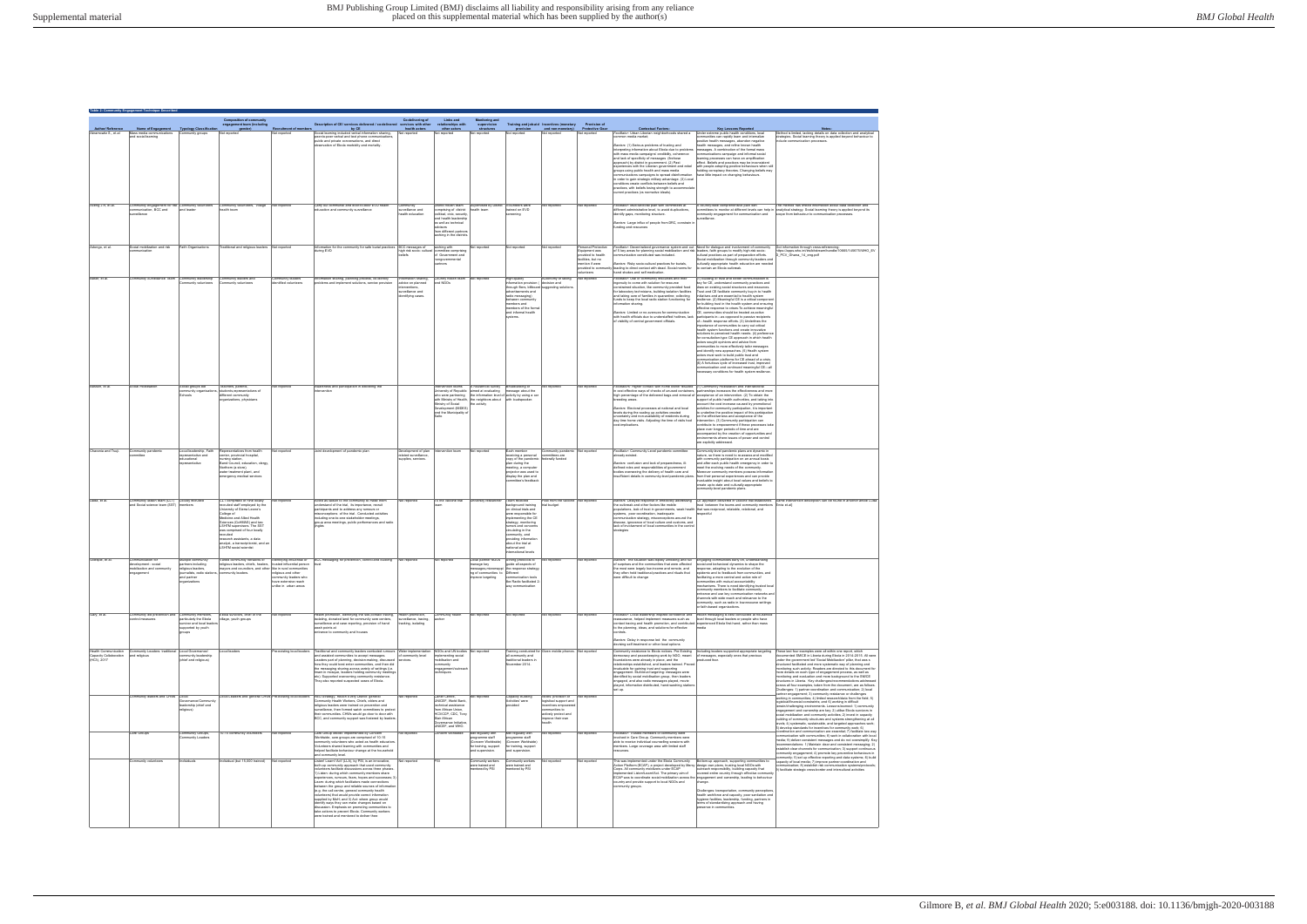|                                         |                                                                            |                                                  | <b>Composition of community<br/>engagement team (including</b>                                 |                                             |                                                                                                                     | Co-delivering of                                     | Links and                                              | <b>Monitoring and</b>                                                                                                                 |                                                                                     |                                                                               |                                                            |                                                                                                                                                                                                                                                             |                                                                                                                                                         |                                                                                                                                                                                                              |
|-----------------------------------------|----------------------------------------------------------------------------|--------------------------------------------------|------------------------------------------------------------------------------------------------|---------------------------------------------|---------------------------------------------------------------------------------------------------------------------|------------------------------------------------------|--------------------------------------------------------|---------------------------------------------------------------------------------------------------------------------------------------|-------------------------------------------------------------------------------------|-------------------------------------------------------------------------------|------------------------------------------------------------|-------------------------------------------------------------------------------------------------------------------------------------------------------------------------------------------------------------------------------------------------------------|---------------------------------------------------------------------------------------------------------------------------------------------------------|--------------------------------------------------------------------------------------------------------------------------------------------------------------------------------------------------------------|
| Author/ Reference<br>ramowitz S,, et.al | Name of Engagement Typology Classification<br>Mass media communications    | nmunity groups                                   | gender)                                                                                        | <b>Recruitment of member</b><br>it reported | Description of CE/ services delivered / co-delivered<br>by CE<br>cial learning included verbal information sharing, | services with other<br>health actors<br>Not reported | relationships with<br>other actors<br>t reported       | supervision<br>structures<br>t reporte                                                                                                | provision<br>reported                                                               | Training and job-aid Incentives (monetary<br>and non monetary)<br>st reported | <b>Protective Gear</b><br>ot reporte                       | <b>Contextual Factors:</b><br>acilitator: Urban Liberian neighborhoods shared a                                                                                                                                                                             | <b>Key Lessons Reported</b><br>Under extreme public health conditions, local                                                                            | Method is limited, lacking details on data collection and analytical                                                                                                                                         |
|                                         | and social learning                                                        |                                                  |                                                                                                |                                             | peer-to-peer verbal and text phone communications<br>public and private conversations, and direct                   |                                                      |                                                        |                                                                                                                                       |                                                                                     |                                                                               |                                                            | mmon media market;                                                                                                                                                                                                                                          | mmunities can rapidly learn and internalize<br>positive health messages, abandon negative                                                               | strategies. Social learning theory is applied beyond behaviour to<br>clude communication processes.                                                                                                          |
|                                         |                                                                            |                                                  |                                                                                                |                                             | servation of Ebola morbidity and mortality                                                                          |                                                      |                                                        |                                                                                                                                       |                                                                                     |                                                                               |                                                            | Barriers: (1) Serious problems of trusting and<br>interpreting information about Ebola due to problems                                                                                                                                                      | health messages, and refine known health<br>messages. A combination of the formal mass                                                                  |                                                                                                                                                                                                              |
|                                         |                                                                            |                                                  |                                                                                                |                                             |                                                                                                                     |                                                      |                                                        |                                                                                                                                       |                                                                                     |                                                                               |                                                            | with mass media campaigns' credibility, coherence<br>and lack of specificity of messages (firehose                                                                                                                                                          | mmunications campaign and informal social<br>leaming processes can have an amplification                                                                |                                                                                                                                                                                                              |
|                                         |                                                                            |                                                  |                                                                                                |                                             |                                                                                                                     |                                                      |                                                        |                                                                                                                                       |                                                                                     |                                                                               |                                                            | approach) by district in government. (2) Past<br>experiences with the Liberian government and rebel                                                                                                                                                         | ffect. Beliefs and practices may be inconsistent<br>with people adopting positive behaviours when still                                                 |                                                                                                                                                                                                              |
|                                         |                                                                            |                                                  |                                                                                                |                                             |                                                                                                                     |                                                      |                                                        |                                                                                                                                       |                                                                                     |                                                                               |                                                            | groups using public health and mass media<br>nmunications campaigns to spread disinformation                                                                                                                                                                | holding conspiracy theories. Changing beliefs may<br>have little impact on changing behaviours                                                          |                                                                                                                                                                                                              |
|                                         |                                                                            |                                                  |                                                                                                |                                             |                                                                                                                     |                                                      |                                                        |                                                                                                                                       |                                                                                     |                                                                               |                                                            | in order to gain strategic military advantage. (3) Local<br>ditions create conflicts between beliefs and                                                                                                                                                    |                                                                                                                                                         |                                                                                                                                                                                                              |
|                                         |                                                                            |                                                  |                                                                                                |                                             |                                                                                                                     |                                                      |                                                        |                                                                                                                                       |                                                                                     |                                                                               |                                                            | practices, with beliefs losing strength to accommod<br>urrent practices (vs normative ideals).                                                                                                                                                              |                                                                                                                                                         |                                                                                                                                                                                                              |
|                                         |                                                                            |                                                  |                                                                                                |                                             |                                                                                                                     |                                                      |                                                        |                                                                                                                                       |                                                                                     |                                                                               |                                                            |                                                                                                                                                                                                                                                             |                                                                                                                                                         |                                                                                                                                                                                                              |
| Aceng J.R. et.al.                       | Community engagement for risk Community volunteers<br>nmunication, BCC and | and leader                                       | Community volunteers, Village<br>ealth team                                                    | Not reported                                | Carry out communal and door-to-door EVD health<br>ucation and community surveilance                                 | Community<br>rveilance and                           | District health team<br>comprising of district         | Supervised by District<br>health team                                                                                                 | Volunteers were<br>rained on EVD                                                    | <b>Vot reported</b>                                                           | Not reported                                               | Facilitator: Multi-sectoral plan with committees at<br>different administrative level, to avoid duplications                                                                                                                                                | A country-wide comprehensive plan with<br>mmittees to monitor at different levels can help in                                                           | The method has limited information about data collection and<br>analytical strategy. Social learning theory is applied beyond its                                                                            |
|                                         | urveillance                                                                |                                                  |                                                                                                |                                             |                                                                                                                     | health education                                     | political, civic, security<br>and health leadership    |                                                                                                                                       |                                                                                     |                                                                               |                                                            | identify gaps, monitoring structure                                                                                                                                                                                                                         | ommunity engagement for communication and<br>rveillance.                                                                                                | scope from behaviour to communication processes                                                                                                                                                              |
|                                         |                                                                            |                                                  |                                                                                                |                                             |                                                                                                                     |                                                      | as well as technical<br>advisors                       |                                                                                                                                       |                                                                                     |                                                                               |                                                            | Barriers: Large influx of people from DRC, constrain in<br>funding and resources                                                                                                                                                                            |                                                                                                                                                         |                                                                                                                                                                                                              |
|                                         |                                                                            |                                                  |                                                                                                |                                             |                                                                                                                     |                                                      | from different partners<br>working in the district:    |                                                                                                                                       |                                                                                     |                                                                               |                                                            |                                                                                                                                                                                                                                                             |                                                                                                                                                         |                                                                                                                                                                                                              |
|                                         |                                                                            | <b>Faith Omanisations</b>                        |                                                                                                |                                             |                                                                                                                     |                                                      |                                                        |                                                                                                                                       |                                                                                     |                                                                               |                                                            |                                                                                                                                                                                                                                                             |                                                                                                                                                         |                                                                                                                                                                                                              |
| Adongo, et al.                          | Social mobilization and risk<br>munication                                 |                                                  | Traditional and religious leaders Not reported                                                 |                                             | ormation for the community for safe burial practices BCC messages of<br>iring EVD                                   | high risk socio- cultural<br>beliefs                 | working with<br>nmittee comprisin<br>of Government and | Not reported                                                                                                                          | Not reported                                                                        | <b>Vot reported</b>                                                           | Personal Protective<br>Equipment was<br>provided to health | Facilitator: Decentralized governance system and out Need for dialogue and involvement of community<br>of 5 key areas for planning social mobilization and risk leaders, faith groups to modify high-risk socio-<br>munication constituted was included.    | cultural practices as part of preparation efforts.                                                                                                      | Got information through cross-referencing<br>https://apps.who.int/iris/bitstream/handle/10665/145675/WHO_EV                                                                                                  |
|                                         |                                                                            |                                                  |                                                                                                |                                             |                                                                                                                     |                                                      | nongovernmental                                        |                                                                                                                                       |                                                                                     |                                                                               | facilities, but no<br>ention if were                       | Barriers: Risky socio-cultural practices for burials,                                                                                                                                                                                                       | Social mobilization through community leaders and<br>culturally appropriate health education are needed                                                 | D_PCV_Ghana_14_eng.pdf                                                                                                                                                                                       |
|                                         |                                                                            |                                                  |                                                                                                |                                             |                                                                                                                     |                                                      |                                                        |                                                                                                                                       |                                                                                     |                                                                               | provided to commun<br>olunteers                            | hity leading to direct contact with dead. Social norms for<br>hand shakes and self-medication                                                                                                                                                               | to contain an Ebola outbreak.                                                                                                                           |                                                                                                                                                                                                              |
| Baker, et al.                           | mmunity Surveillance Team Community leadership                             |                                                  | ommunity leaders and                                                                           | ommunity leaders                            | ormation sharing, planning process, co-identify                                                                     | nformation sharing,                                  | Country health team                                    | Not reported                                                                                                                          | High-quality                                                                        | utonomy of taking                                                             | Not reported                                               | Facilitator: Use of community resources and their                                                                                                                                                                                                           | (1) Building of trust and better communication is                                                                                                       |                                                                                                                                                                                                              |
|                                         |                                                                            | ommunity volunteers                              | ommunity volunteers                                                                            | entified volunteers                         | oblems and implement solutions, service provision                                                                   | advice on planned                                    | and NGOs                                               |                                                                                                                                       | information provision (Idecision and<br>hrough fiers, bilboard suggesting solutions |                                                                               |                                                            | ingenuity to come with solution for resource<br>constrained situation, like community provided food                                                                                                                                                         | key for CE, understand community practices and<br>draw on existing social structures and resources.                                                     |                                                                                                                                                                                                              |
|                                         |                                                                            |                                                  |                                                                                                |                                             |                                                                                                                     | surveilance and<br>dentifying cases.                 |                                                        |                                                                                                                                       | advertisements and<br>adio messaging)                                               |                                                                               |                                                            | for laboratory technicians, building isolation facilities<br>and taking care of familes in quarantine; collecting                                                                                                                                           | Trust and CE facilitate community buy-in to health<br>initiatives and are essential to health system                                                    |                                                                                                                                                                                                              |
|                                         |                                                                            |                                                  |                                                                                                |                                             |                                                                                                                     |                                                      |                                                        |                                                                                                                                       | between communit<br>members and                                                     |                                                                               |                                                            | funds to keep the local radio station functioning for<br>nformation sharing.                                                                                                                                                                                | resilience. (2) Meaningful CE is a critical compon<br>for building trust in the health system and ensuring                                              |                                                                                                                                                                                                              |
|                                         |                                                                            |                                                  |                                                                                                |                                             |                                                                                                                     |                                                      |                                                        |                                                                                                                                       | embers of the form<br>and informal health                                           |                                                                               |                                                            | Barriers: Limited or no avenues for communication                                                                                                                                                                                                           | effective response to crises. To achieve meaningfu<br>CE, communities should be treated as active                                                       |                                                                                                                                                                                                              |
|                                         |                                                                            |                                                  |                                                                                                |                                             |                                                                                                                     |                                                      |                                                        |                                                                                                                                       |                                                                                     |                                                                               |                                                            | with health officials due to understaffed hotlines, lack<br>of visibility of central government officials.                                                                                                                                                  | participants in-as opposed to passive recipients<br>of-health response efforts. (3) Underlines the                                                      |                                                                                                                                                                                                              |
|                                         |                                                                            |                                                  |                                                                                                |                                             |                                                                                                                     |                                                      |                                                        |                                                                                                                                       |                                                                                     |                                                                               |                                                            |                                                                                                                                                                                                                                                             | importance of communities to carry out critical<br>health system functions and create innovative<br>solutions to perceived health needs. (4) preference |                                                                                                                                                                                                              |
|                                         |                                                                            |                                                  |                                                                                                |                                             |                                                                                                                     |                                                      |                                                        |                                                                                                                                       |                                                                                     |                                                                               |                                                            |                                                                                                                                                                                                                                                             | for consultation-type CE approach in which health                                                                                                       |                                                                                                                                                                                                              |
|                                         |                                                                            |                                                  |                                                                                                |                                             |                                                                                                                     |                                                      |                                                        |                                                                                                                                       |                                                                                     |                                                                               |                                                            |                                                                                                                                                                                                                                                             | actors sought opinions and advice from<br>ommunities to more effectively tailor messages<br>and identify new approaches. (5) Health system              |                                                                                                                                                                                                              |
|                                         |                                                                            |                                                  |                                                                                                |                                             |                                                                                                                     |                                                      |                                                        |                                                                                                                                       |                                                                                     |                                                                               |                                                            |                                                                                                                                                                                                                                                             | actors must work to build public trust and                                                                                                              |                                                                                                                                                                                                              |
|                                         |                                                                            |                                                  |                                                                                                |                                             |                                                                                                                     |                                                      |                                                        |                                                                                                                                       |                                                                                     |                                                                               |                                                            |                                                                                                                                                                                                                                                             | nmunication platforms for CE ahead of a crisis<br>(6) A fortuitous cycle of increased trust, improved                                                   |                                                                                                                                                                                                              |
|                                         |                                                                            |                                                  |                                                                                                |                                             |                                                                                                                     |                                                      |                                                        |                                                                                                                                       |                                                                                     |                                                                               |                                                            |                                                                                                                                                                                                                                                             | ommunication and continued meaningful CE-all<br>ecessary conditions for health system resilience                                                        |                                                                                                                                                                                                              |
|                                         |                                                                            |                                                  |                                                                                                |                                             |                                                                                                                     |                                                      |                                                        |                                                                                                                                       |                                                                                     |                                                                               |                                                            |                                                                                                                                                                                                                                                             |                                                                                                                                                         |                                                                                                                                                                                                              |
| Basson, et al.                          | Social mobilisation                                                        | Social groups like<br>ommunity organisati        | Teachers, parents<br>students, representatives of                                              | Not reported                                | wareness and participation in delivering the                                                                        |                                                      | Intervention teams                                     | A household survey<br>University of Republic aimed at evaluating message about the                                                    | Broadcasting of                                                                     | Not reported                                                                  | Not reported                                               | Facilitators: Higher contact with home owner resulted (1) Community mobilization and inter-sectoral<br>in cost effective ways of checks of unused containers. partnerships increases the effectiveness and more                                             |                                                                                                                                                         |                                                                                                                                                                                                              |
|                                         |                                                                            |                                                  | different community<br>rganizations, physicians                                                |                                             |                                                                                                                     |                                                      |                                                        | who were partnering the information level of activity by using a ca<br>with Ministry of Health, the neighbors about with loudspeaker. |                                                                                     |                                                                               |                                                            | high percentage of the delivered bags and removal of acceptance of an intervention. (2) To obtain the<br>breeding areas.                                                                                                                                    | support of public health authorities, and taking into                                                                                                   |                                                                                                                                                                                                              |
|                                         |                                                                            |                                                  |                                                                                                |                                             |                                                                                                                     |                                                      | Ministry of Social<br>Development (MIDES)              | the activity                                                                                                                          |                                                                                     |                                                                               |                                                            | Ragiers: Flectoral processes at pational and local                                                                                                                                                                                                          | count the cost increase caused by promotional<br>activities for community participation it is important                                                 |                                                                                                                                                                                                              |
|                                         |                                                                            |                                                  |                                                                                                |                                             |                                                                                                                     |                                                      | and the Municipality of                                |                                                                                                                                       |                                                                                     |                                                                               |                                                            | levels during the scaling up activities created<br>uncertainty and non-availability of residents during                                                                                                                                                     | to underline the positive impact of this participation<br>on the effectiveness and accentance of the                                                    |                                                                                                                                                                                                              |
|                                         |                                                                            |                                                  |                                                                                                |                                             |                                                                                                                     |                                                      |                                                        |                                                                                                                                       |                                                                                     |                                                                               |                                                            | day time home visits. Adjusting the time of visits had<br>ost-implications                                                                                                                                                                                  | intervention. (3) Community participation can<br>ontribute to empowerment if these processes tak                                                        |                                                                                                                                                                                                              |
|                                         |                                                                            |                                                  |                                                                                                |                                             |                                                                                                                     |                                                      |                                                        |                                                                                                                                       |                                                                                     |                                                                               |                                                            |                                                                                                                                                                                                                                                             | place over longer periods of time and are<br>accompanied by the creation of opportunities and                                                           |                                                                                                                                                                                                              |
|                                         |                                                                            |                                                  |                                                                                                |                                             |                                                                                                                     |                                                      |                                                        |                                                                                                                                       |                                                                                     |                                                                               |                                                            |                                                                                                                                                                                                                                                             | environments where issues of power and control<br>re explicitly addressed                                                                               |                                                                                                                                                                                                              |
| Charania and Tsui                       | Community pandemi                                                          | Local leadership. Faith                          | epresentatives from health                                                                     | Not reported                                | Joint development of pandemic plan                                                                                  | Development of plan                                  | ervention team                                         | Not reported                                                                                                                          | Each member                                                                         | ommunity pandemic                                                             | Not reported                                               | Facilitator: Community Level pandemic committee                                                                                                                                                                                                             | Community-level pandemic plans are dynamic in                                                                                                           |                                                                                                                                                                                                              |
|                                         |                                                                            | representative and<br>educational                | enter, provincial hospital<br>nursing station.                                                 |                                             |                                                                                                                     | related surveillance<br>supplies, services.          |                                                        |                                                                                                                                       | receiving a personal<br>copy of the pandemic                                        | mmittees are<br>federally funded                                              |                                                            | lready existed.                                                                                                                                                                                                                                             | nature, so there is need to re-assess and modified<br>with community participation on an annual basis                                                   |                                                                                                                                                                                                              |
|                                         |                                                                            |                                                  | Band Council, education, clergy,<br>Northern (a store),                                        |                                             |                                                                                                                     |                                                      |                                                        |                                                                                                                                       | plan during the<br>reeting, a compute                                               |                                                                               |                                                            | Bamers: confusion and lack of preparedness, ill-<br>defined roles and responsibilities of government<br>bodies overseeing the delivery of health care and                                                                                                   | and after each public health emergency in order to<br>meet the evolving needs of the community.                                                         |                                                                                                                                                                                                              |
|                                         |                                                                            |                                                  | water treatment plant, and<br>ergency medical services                                         |                                             |                                                                                                                     |                                                      |                                                        |                                                                                                                                       | ojector was used to<br>display the plan and                                         |                                                                               |                                                            | nsufficient details in community-level pandemic plans                                                                                                                                                                                                       | Moreover community members possess information<br>from their personal experiences and can provide                                                       |                                                                                                                                                                                                              |
|                                         |                                                                            |                                                  |                                                                                                |                                             |                                                                                                                     |                                                      |                                                        |                                                                                                                                       | nmittee's feedbac                                                                   |                                                                               |                                                            |                                                                                                                                                                                                                                                             | invaluable insight about local values and beliefs to<br>create up-to-date and culturally-appropriate<br>ommunity-level pandemic plans.                  |                                                                                                                                                                                                              |
|                                         |                                                                            |                                                  |                                                                                                |                                             |                                                                                                                     |                                                      |                                                        |                                                                                                                                       |                                                                                     |                                                                               |                                                            |                                                                                                                                                                                                                                                             |                                                                                                                                                         |                                                                                                                                                                                                              |
| Dada, et al.                            | mmunity liaison team (CLT)<br>and Social science team (SST) members        | Locally recruited                                | CLT comprised of nine locally<br>recruited staff employed by the                               | ot reported                                 | cted as liaison to the community to make them<br>inderstand of the trial, its importance, recruit                   | Not reported                                         | To the vaccine trial                                   | iversity researcher                                                                                                                   | Team received<br>background training                                                | aid from the vaccine<br>trial budget                                          | Not reporter                                               | Barriers: Delayed response in effectively addressing CE approach delivered in vaccine trial establishes<br>the outbreak and other factors like mobile                                                                                                       | trust between the teams and community members Enria et.all                                                                                              | Same intervention description can be found in another article Luisa                                                                                                                                          |
|                                         |                                                                            |                                                  | niversity of Sierra Leone's<br>College of                                                      |                                             | articipants and to address any rumours or<br>isconceptions of the trial . Conducted activities                      |                                                      |                                                        |                                                                                                                                       | on clinical trials and<br>were responsible fo                                       |                                                                               |                                                            | populations, lack of trust in governments, weak health that was reciprocal, relatable, relational, and<br>systems, poor coordination, inadequate                                                                                                            | respectful                                                                                                                                              |                                                                                                                                                                                                              |
|                                         |                                                                            |                                                  | Medicine and Alfed Health<br>Sciences (CoHMAS) and two                                         |                                             | ncluding one-to-one stakeholder meetings,<br>group area meetings, public performances and radio                     |                                                      |                                                        |                                                                                                                                       | implementing the CE<br>strategy, monitoring                                         |                                                                               |                                                            | communication strategy, misconceptions around the<br>disease, ignorance of local culture and customs, and                                                                                                                                                   |                                                                                                                                                         |                                                                                                                                                                                                              |
|                                         |                                                                            |                                                  | LSHTM supervisors. The SST<br>was comprised of four locally                                    |                                             |                                                                                                                     |                                                      |                                                        |                                                                                                                                       | umors and concern<br>circulating in the                                             |                                                                               |                                                            | lack of involvement of local communities in the control<br>trategies                                                                                                                                                                                        |                                                                                                                                                         |                                                                                                                                                                                                              |
|                                         |                                                                            |                                                  | recruited<br>research assistants, a data                                                       |                                             |                                                                                                                     |                                                      |                                                        |                                                                                                                                       | community, and<br>providing information                                             |                                                                               |                                                            |                                                                                                                                                                                                                                                             |                                                                                                                                                         |                                                                                                                                                                                                              |
|                                         |                                                                            |                                                  | analyst, a transcriptionist, and a<br>SHTM social scientist                                    |                                             |                                                                                                                     |                                                      |                                                        |                                                                                                                                       | about the trial at<br>ational and                                                   |                                                                               |                                                            |                                                                                                                                                                                                                                                             |                                                                                                                                                         |                                                                                                                                                                                                              |
|                                         |                                                                            |                                                  |                                                                                                |                                             |                                                                                                                     |                                                      |                                                        |                                                                                                                                       | emational levels                                                                    |                                                                               |                                                            |                                                                                                                                                                                                                                                             |                                                                                                                                                         |                                                                                                                                                                                                              |
| Gillespie, et al.                       | Communication fo<br>development - social                                   | Multiple community<br>partners including         | aried community networks of<br>religious leaders, chiefs, bealers. Itrusted influential nerson | Identifying influential or                  | BCC messaging for prevention, control and building                                                                  | Not reported                                         | Not reported                                           | Local partner NGOs<br>manage key                                                                                                      | Strong protocols to<br>quide all aspects of                                         | ot reported                                                                   | Not reporter                                               | Bamers: the situation was rapidly unfolding and full<br>of sumrises and the communities that were affected                                                                                                                                                  | Engaging communities early on, understanding<br>social and behavioral dynamics to shape the                                                             |                                                                                                                                                                                                              |
|                                         | nobilization and community<br>gagement                                     | religious leaders,<br>malists, radio sta         | nayors and councilors, and other like in rural communities<br>munity leaders                   | religious and other                         |                                                                                                                     |                                                      |                                                        | messages,micromappi<br>ng of communities to Different                                                                                 | the response strategy                                                               |                                                                               |                                                            | the most were largely low-income and remote, and<br>they often held traditional practices and rituals that                                                                                                                                                  | response, adapting to the evolution of the<br>pidemic and to feedback from communities, and                                                             |                                                                                                                                                                                                              |
|                                         |                                                                            | and partner<br>nizations                         |                                                                                                | mmunity leaders who<br>have extensive reach |                                                                                                                     |                                                      |                                                        | mprove targeting                                                                                                                      | communication tools<br>like Radio facilitated:                                      |                                                                               |                                                            | were difficult to change                                                                                                                                                                                                                                    | facilitating a more central and active role of<br>mmunities with mutual accountability                                                                  |                                                                                                                                                                                                              |
|                                         |                                                                            |                                                  |                                                                                                | nlike in urban areas                        |                                                                                                                     |                                                      |                                                        |                                                                                                                                       | way communication                                                                   |                                                                               |                                                            |                                                                                                                                                                                                                                                             | mechanisms. There is need identifying trusted loca<br>community members to facilitate community                                                         |                                                                                                                                                                                                              |
|                                         |                                                                            |                                                  |                                                                                                |                                             |                                                                                                                     |                                                      |                                                        |                                                                                                                                       |                                                                                     |                                                                               |                                                            |                                                                                                                                                                                                                                                             | entrance and use key communication networks and<br>channels with wide reach and relevance to the                                                        |                                                                                                                                                                                                              |
|                                         |                                                                            |                                                  |                                                                                                |                                             |                                                                                                                     |                                                      |                                                        |                                                                                                                                       |                                                                                     |                                                                               |                                                            |                                                                                                                                                                                                                                                             | nmunity, such as radio in low-resource settings<br>or faith-based omanization                                                                           |                                                                                                                                                                                                              |
| Gary, et al.                            | Community led prevention and Community members,<br>ntrol measurer          | particularly the Ebola                           | Ebola survivors, chief of the<br>village, youth groups                                         | Not reported                                | Health promotion, identifying the sick,contact tracing,<br>solating, donated land for community care centers,       | Health promotion<br>surveilance, tracing,            | Community health                                       | Not reported                                                                                                                          | Not reported                                                                        | Vot reported                                                                  | Not reported                                               | Facilitator: Local leadership inspired confidence and Health messaging is best conducted at household<br>reassurance, helped implement measures such as level through local leaders or people who have                                                      |                                                                                                                                                         |                                                                                                                                                                                                              |
|                                         |                                                                            | survivor and local leaders<br>supported by youth |                                                                                                |                                             | surveillance and case reporting, provision of hand<br>wash points at                                                | tracking, isolating                                  |                                                        |                                                                                                                                       |                                                                                     |                                                                               |                                                            | contact tracing and health promotion, and contributed experienced Ebola first-hand, rather than mass<br>to the planning, ideas, and solutions for effective                                                                                                 | media                                                                                                                                                   |                                                                                                                                                                                                              |
|                                         |                                                                            | roups                                            |                                                                                                |                                             | ntrance to community and houses                                                                                     |                                                      |                                                        |                                                                                                                                       |                                                                                     |                                                                               |                                                            |                                                                                                                                                                                                                                                             |                                                                                                                                                         |                                                                                                                                                                                                              |
|                                         |                                                                            |                                                  |                                                                                                |                                             |                                                                                                                     |                                                      |                                                        |                                                                                                                                       |                                                                                     |                                                                               |                                                            | Barriers: Delay in response led the community<br>devising self-treatment or other local options                                                                                                                                                             |                                                                                                                                                         |                                                                                                                                                                                                              |
| <b>Health Communication</b>             | Community Leaders: traditional Local Governance                            |                                                  | Local leaders                                                                                  | Pre-existing local leaders                  | Traditional and community leaders combated rumours Wider implementation                                             |                                                      | NGOs and UN bodies                                     | Not reported                                                                                                                          | <b>Fraining conducted for</b>                                                       | iven mobile phones. Not reported                                              |                                                            | Community resistance to Ebola notices. Pre Existing                                                                                                                                                                                                         | Including leaders supported appropriate targeting                                                                                                       | These last four examples were all within one report which                                                                                                                                                    |
| Capacity Collaboration<br>(HC3), 2017   | and religious                                                              | community leadership<br>(chief and religious)    |                                                                                                |                                             | and assisted communities to accept messages.<br>Leaders part of planning decision-making discussed services         | of community level                                   | implementing social<br>mobilisation and                |                                                                                                                                       | all community and<br>traditional leaders in                                         |                                                                               |                                                            | democracy and peacekeeping work by NGO, meant<br>foundations were already in place, and the                                                                                                                                                                 | of messages, especially ones that previous<br>produced fear                                                                                             | documented SM/CE in Liberia during Ebola in 2014-2015. All were<br>under the government led 'Social Mobilization' pillar, that was s                                                                         |
|                                         |                                                                            |                                                  |                                                                                                |                                             | how they could best enter communities, and then did<br>the messaging sharing across variety of settings (i.e.       |                                                      | community<br>engagement/outrea                         |                                                                                                                                       | lovember 2014                                                                       |                                                                               |                                                            | relationships established, and leaders trained. Proved<br>invaluable for gaining trust and supporting                                                                                                                                                       |                                                                                                                                                         | structured facilitated and more systematic way of planning and<br>nonitoring such activity. Readers are directed to this document for                                                                        |
|                                         |                                                                            |                                                  |                                                                                                |                                             | Imam in mosque, leaders holding community meetings<br>etc). Supported overcoming community resistance               |                                                      | chniques                                               |                                                                                                                                       |                                                                                     |                                                                               |                                                            | engagement. Multi-level targeting: messages were<br>identified by social mobilisation group, then leaders                                                                                                                                                   |                                                                                                                                                         | more details on each type of engagement process, as well as<br>nonitoring and evaluation and more background to the SMCE                                                                                     |
|                                         |                                                                            |                                                  |                                                                                                |                                             | They also reported suspected cases of Ebola.                                                                        |                                                      |                                                        |                                                                                                                                       |                                                                                     |                                                                               |                                                            | engaged, and also radio messages played, movie<br>played, information distributed, hand-washing station<br>set up.                                                                                                                                          |                                                                                                                                                         | structures in Liberia. Key challenges/recommendations addresser<br>across all four examples, taken from the document, are as follows.<br>Challenges: 1) partner coordination and communication: 2) local     |
|                                         | nmunity leaders and CHWs                                                   | Loca                                             | ocal Leaders and general CHWs Pre-existing local leaders                                       |                                             | RED Strategy, Reach Every District: general                                                                         | Not reporter                                         | Carter Centre                                          | t reports                                                                                                                             | <b>Capacity Building</b>                                                            | otes: provision o                                                             |                                                            |                                                                                                                                                                                                                                                             |                                                                                                                                                         | partner engagement: 3) community resistance or challenges<br>working in communities; 4) limited research/data from the field; 5)                                                                             |
|                                         |                                                                            | Governance/Communit<br>leadership (chief and     |                                                                                                |                                             | Community Health Workers, Chiefs, elders and<br>religious leaders were trained on prevention and                    |                                                      | UNICEF. World Bank<br>technical assistance             |                                                                                                                                       | Activities' were<br><b>vided</b>                                                    | gistical support and<br>centives empowere                                     |                                                            |                                                                                                                                                                                                                                                             |                                                                                                                                                         | logistical/financial constraints; and 6) working in difficult                                                                                                                                                |
|                                         |                                                                            | religious)                                       |                                                                                                |                                             | rveillance, then formed watch committees to proteo<br>their communities. CHWs would go door to door with            |                                                      | from African Union,<br>HC3/CCP, CDC, Tony              |                                                                                                                                       |                                                                                     | mmunities to<br>actively protect and                                          |                                                            |                                                                                                                                                                                                                                                             |                                                                                                                                                         | errain/challenging environments. Lessons learned: 1) community<br>engagement and ownership are key: 2) utilise Ebola survivors in                                                                            |
|                                         |                                                                            |                                                  |                                                                                                |                                             | BCC, and community support was fostered by leader                                                                   |                                                      | Blair African<br>Governance Initiative                 |                                                                                                                                       |                                                                                     | improve their own<br>ealth                                                    |                                                            |                                                                                                                                                                                                                                                             |                                                                                                                                                         | social mobilization and community activities; 2) invest in capacity<br>building of community structures and systems strengthening at all<br>levels; 4) systematic, sustainable, and targeted approaches work |
|                                         |                                                                            |                                                  |                                                                                                |                                             |                                                                                                                     |                                                      | UNICEF, and WHO.                                       |                                                                                                                                       |                                                                                     |                                                                               |                                                            |                                                                                                                                                                                                                                                             |                                                                                                                                                         | 5) develop standards for incentives for community work; 6)<br>coordination and communication are essential; 7) facilitate two way                                                                            |
|                                         | Care Groups                                                                | Community Groups<br>munity Leaders               | 0-15 community volunteers                                                                      | Not reported                                | Care Group Model: Implemented by Concern<br>Vorldwide, care groups are comprised of 10-15                           | not reported                                         | Concern Worldwide                                      | Met regularly with<br>programme staff                                                                                                 | Met regularly with<br>programme staff                                               | Vot reported                                                                  | Not reported                                               | Facilitator: Trusted members of community were<br>involved in Care Group. Community members were                                                                                                                                                            |                                                                                                                                                         | communication with communities: 8) work in collaboration with local<br>media: 9) deliver consistent messages and do not oversimplify. Key                                                                    |
|                                         |                                                                            |                                                  |                                                                                                |                                             | community volunteers who acted as bealth educator<br>olunteers shared learning with communities and                 |                                                      |                                                        | (Concern Worldwide)<br>for training, support                                                                                          | (Concern Worldwide)<br>for training, support                                        |                                                                               |                                                            | able to receive individual counselling sessions with<br>members. Large coverage area with limited staff                                                                                                                                                     |                                                                                                                                                         | recommendations: 1) Maintain clear and consistent messaging; 2)<br>establish clear channels for communication; 3) support continuous                                                                         |
|                                         |                                                                            |                                                  |                                                                                                |                                             | helped facilitate behaviour change at the househok<br>and community level.                                          |                                                      |                                                        | and supervision.                                                                                                                      | and supervision                                                                     |                                                                               |                                                            | resources.                                                                                                                                                                                                                                                  |                                                                                                                                                         | ommunity engagement; 4) promote key preventive behaviours in                                                                                                                                                 |
|                                         | mmunity volunteers                                                         | ndividuals                                       | dividual (but 15,000 trained)                                                                  | Not reported                                | isten! Leam! Act! (LLA), by PSI, is an innovative,<br>both-up community approach that used community                | Not reported                                         |                                                        | Community workers<br>were trained and                                                                                                 | Community workers                                                                   | ot reported                                                                   | Not reported                                               | This was implemented under the Ebola Community                                                                                                                                                                                                              | Bottom-up approach, supporting communities to                                                                                                           | munity; 5) set up effective reporting and data systems; 6) build<br>capacity of local media; 7) improve partner coordination and                                                                             |
|                                         |                                                                            |                                                  |                                                                                                |                                             | olunteers facilitate discussions across three phases.<br>1) Listen: during which community members share            |                                                      |                                                        | nentored by PSI                                                                                                                       | were trained and<br>mentored by PSI                                                 |                                                                               |                                                            | Action Platform (ECAP), a project developed by Mercy design own plans, trusting local NGOs with<br>Corps. All community mobilizers under ECAP outreach responsibility, building capacity that                                                               |                                                                                                                                                         | nmunication; 8) establish risk communication systems/protocol<br>) facilitate strategic cross-border and intercultural activities                                                                            |
|                                         |                                                                            |                                                  |                                                                                                |                                             | experiences, rumours, fears, hopes and successes; 3)<br>Learn: during which facilitators made connections           |                                                      |                                                        |                                                                                                                                       |                                                                                     |                                                                               |                                                            | implemented Listen/Leam/Act. The primary aim of covered entire country through effective community<br>ECAP was to coordinate social mobilization across the engagement and ownership, leading to behaviour<br>country and provide support to local NGOs and | change                                                                                                                                                  |                                                                                                                                                                                                              |
|                                         |                                                                            |                                                  |                                                                                                |                                             | between the group and reliable sources of informatio<br>(e.g. the call centre, general community health             |                                                      |                                                        |                                                                                                                                       |                                                                                     |                                                                               |                                                            | community groups.                                                                                                                                                                                                                                           | Challenges: transportation, community perceptions                                                                                                       |                                                                                                                                                                                                              |
|                                         |                                                                            |                                                  |                                                                                                |                                             | plunteers) that would provide correct information<br>supplied by MoH; and 3) Act: where group would                 |                                                      |                                                        |                                                                                                                                       |                                                                                     |                                                                               |                                                            |                                                                                                                                                                                                                                                             | health workforce and capacity, poor sanitation and<br>hygiene facilities, leadership, funding, partners in                                              |                                                                                                                                                                                                              |
|                                         |                                                                            |                                                  |                                                                                                |                                             | identify ways they can make changes based on<br>discussion. Emphasis on promoting communities to                    |                                                      |                                                        |                                                                                                                                       |                                                                                     |                                                                               |                                                            |                                                                                                                                                                                                                                                             | erms of standardizing approach and having<br>presence in communities.                                                                                   |                                                                                                                                                                                                              |
|                                         |                                                                            |                                                  |                                                                                                |                                             | take actions to prevent Ebola. Community workers<br>were trained and mentored to deliver thee                       |                                                      |                                                        |                                                                                                                                       |                                                                                     |                                                                               |                                                            |                                                                                                                                                                                                                                                             |                                                                                                                                                         |                                                                                                                                                                                                              |
|                                         |                                                                            |                                                  |                                                                                                |                                             |                                                                                                                     |                                                      |                                                        |                                                                                                                                       |                                                                                     |                                                                               |                                                            |                                                                                                                                                                                                                                                             |                                                                                                                                                         |                                                                                                                                                                                                              |

**Table 2: Community Engagement Technique Described**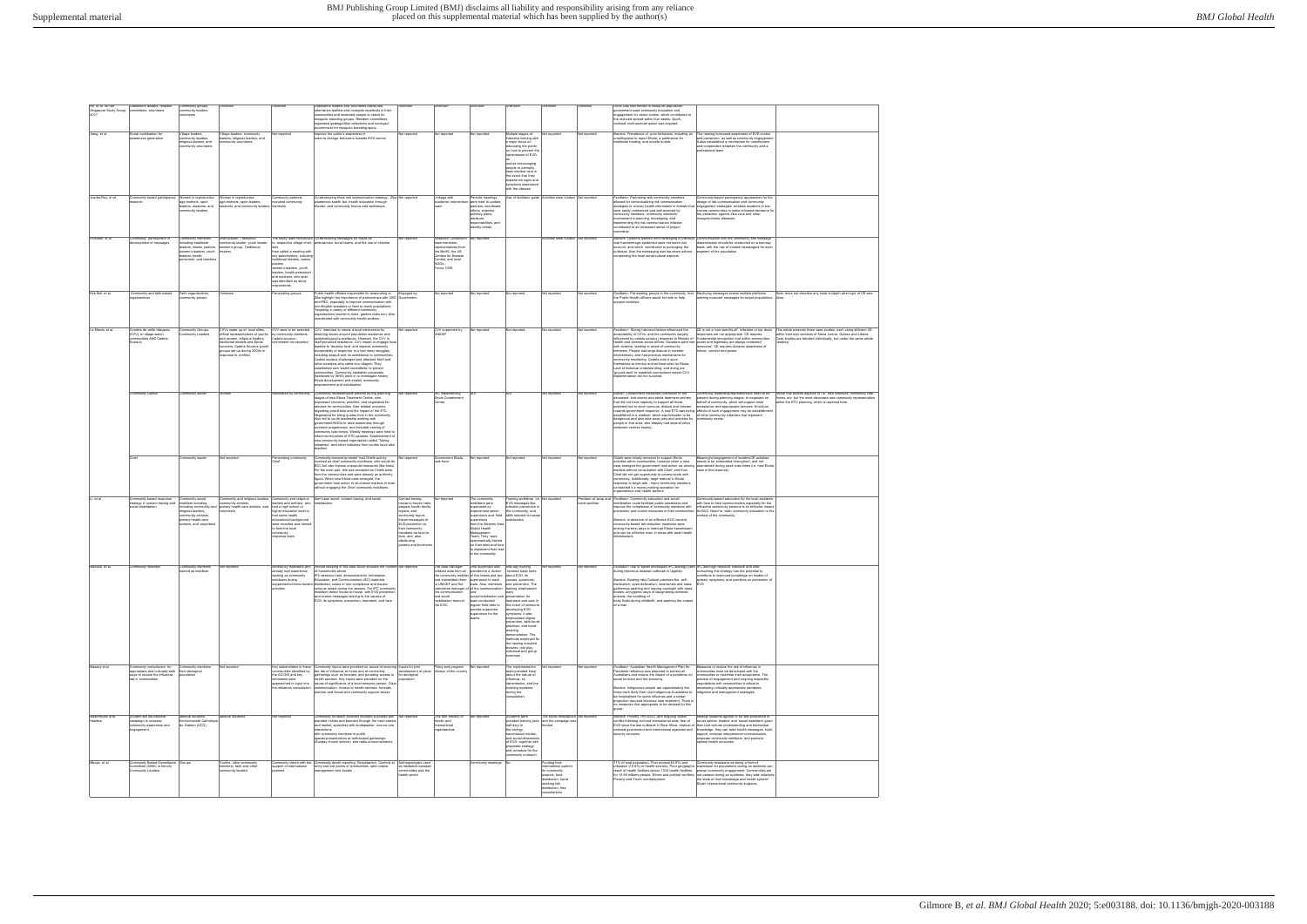| Ho, et al. for the<br>Singapore Study Group, committees, volunteers<br>2017 | Grassroots leaders, resident                                                                                       | Community groups<br>community leaders<br>lunteers                                                                                                       |                                                                                                                                                                                                                                                          |                                                                                                                                                                                                                                                            | Grassroots leaders and volunteers distributed<br>information leaflets and mosquito repellents in their<br>mmunities and reminded people to check for<br>mosquito breeding groups. Resident committees<br>organised garbage/litter collections and surveyed<br>ment for mosquito breeding spots.                                                                                                                                                                                                                                                                                                                                                                                                     | iknow                                                                                                                                                                                                                                              |                                                                                                                                                     |                                                                                                                                                                                                                                                                                                                                                                                                                              |                                                                                                                                                                                                                                                                                                                                                                                        |                                                                                                                                                      |              | Once Zika had moved to mosquito population<br>has acitecute viinummab heau taemmevon<br>-<br>engagement for vector control, which contributed to<br>the reduced spread within four weeks. Quick.<br>ational, multi-sectoral action was required.                                                                                                                                                                                                                                                                                                                                                                                                                                                                      |                                                                                                                                                                                                                                                                                                                       |                                                                                                                                                                                                                    |
|-----------------------------------------------------------------------------|--------------------------------------------------------------------------------------------------------------------|---------------------------------------------------------------------------------------------------------------------------------------------------------|----------------------------------------------------------------------------------------------------------------------------------------------------------------------------------------------------------------------------------------------------------|------------------------------------------------------------------------------------------------------------------------------------------------------------------------------------------------------------------------------------------------------------|-----------------------------------------------------------------------------------------------------------------------------------------------------------------------------------------------------------------------------------------------------------------------------------------------------------------------------------------------------------------------------------------------------------------------------------------------------------------------------------------------------------------------------------------------------------------------------------------------------------------------------------------------------------------------------------------------------|----------------------------------------------------------------------------------------------------------------------------------------------------------------------------------------------------------------------------------------------------|-----------------------------------------------------------------------------------------------------------------------------------------------------|------------------------------------------------------------------------------------------------------------------------------------------------------------------------------------------------------------------------------------------------------------------------------------------------------------------------------------------------------------------------------------------------------------------------------|----------------------------------------------------------------------------------------------------------------------------------------------------------------------------------------------------------------------------------------------------------------------------------------------------------------------------------------------------------------------------------------|------------------------------------------------------------------------------------------------------------------------------------------------------|--------------|-----------------------------------------------------------------------------------------------------------------------------------------------------------------------------------------------------------------------------------------------------------------------------------------------------------------------------------------------------------------------------------------------------------------------------------------------------------------------------------------------------------------------------------------------------------------------------------------------------------------------------------------------------------------------------------------------------------------------|-----------------------------------------------------------------------------------------------------------------------------------------------------------------------------------------------------------------------------------------------------------------------------------------------------------------------|--------------------------------------------------------------------------------------------------------------------------------------------------------------------------------------------------------------------|
| Jiang, et al.                                                               | Social mobilization for<br>vareness generation                                                                     | /illage leaders<br>mmunity leaders<br>eligious leaders, and<br>nmunity volunteers                                                                       | /illage leaders, community<br>leaders, religious leaders, and                                                                                                                                                                                            | Not reported                                                                                                                                                                                                                                               | Improve the public's awareness in<br>order to change behaviors towards EVD control                                                                                                                                                                                                                                                                                                                                                                                                                                                                                                                                                                                                                  | Not reported                                                                                                                                                                                                                                       | Not reported                                                                                                                                        | lot reported                                                                                                                                                                                                                                                                                                                                                                                                                 | Multiple stages of<br>tensive training with<br>major focus on<br>educating the public<br>on how to prevent the<br>insmission of EVD.<br>well as encouraging<br>people to promptly<br>seek medical care in<br>the event that they<br>experience signs and<br>vmptoms associate<br>ith the disease                                                                                       | Not reported                                                                                                                                         | Not reported | Barriers: Prevalence of poor behaviors, including an<br>unwillingness to report Ebola, a preference for<br>ditional healing, and unsafe burials                                                                                                                                                                                                                                                                                                                                                                                                                                                                                                                                                                       | The training increased awareness of EVD control<br>and prevention, as well as community engagement.<br>It also established a mechanism for coordination<br>and cooperation between the community and a<br>essional team                                                                                               |                                                                                                                                                                                                                    |
| Juarbe-Rey, et al.                                                          | Community based participatory<br>earch                                                                             | Women in reproductive<br>age, mothers, sport<br>leaders, students, and<br>mmunity leaders                                                               | Women in reproductive<br>age, mothers, sport leaders,<br>students, and community leaders                                                                                                                                                                 | Community partners<br>recruited community<br>members                                                                                                                                                                                                       | Co-developing three risk communication strategy- Zika Not reported<br>awareness health fair, health education through<br>theater, and community forums and workshops                                                                                                                                                                                                                                                                                                                                                                                                                                                                                                                                |                                                                                                                                                                                                                                                    | Linkage with                                                                                                                                        | Periodic meetings<br>were held to update<br>partners, coordinate<br>efforts, examine<br>publicity plans,<br>distribute<br>esponsibilities, and<br>identify needs                                                                                                                                                                                                                                                             |                                                                                                                                                                                                                                                                                                                                                                                        | Use of facilitator quide Activities were funded Not reported                                                                                         |              | Facilitator: Partnering with community members<br>allowed for contextualizing risk communication<br>strategies to convey health information in formats that engagement strategies enables residents in low-<br>were easily understood and well-received by<br>munity members. community members'<br>volvement in planning, developing, and<br>nplementing this risk communication initiative<br>ontributed to an increased sense of project<br>hership                                                                                                                                                                                                                                                                | Community-based participatory approaches for the<br>esign of risk communication and community<br>come communities to make informed decisions for<br>the protection against Zika virus and other<br>osquito-bome diseases                                                                                              |                                                                                                                                                                                                                    |
| Kinsman, et al.                                                             | Community participation in<br>relopment of messages                                                                | Community members<br>ncluding traditional<br>eaders, imams, pastors,<br>women's leaders, youth<br>leaders, health<br>rsonnel, and teacher               | Imam/pastor. Traditional<br>mmunity leader, youth leader,<br>women's group, Traditional<br>healers                                                                                                                                                       | to respective village chief,<br>then called a meeting with<br>key stakeholders, includin<br>traditional leaders, imams,<br>pastors,<br>women's leaders, youth<br>leaders, health personn<br>and teachers, who later<br>was identified as study<br>pondents | The study team introduced Co-developing messages on topics as<br>ambulances, burial teams, and the use of chlorine                                                                                                                                                                                                                                                                                                                                                                                                                                                                                                                                                                                  | Not reported                                                                                                                                                                                                                                       | Research Consortium<br>eam members,<br>epresentatives from<br>the MoHS, the US<br>Centers for Diseas<br>Control, and local<br>NGOs -<br>Focus 1000. | Not reported                                                                                                                                                                                                                                                                                                                                                                                                                 |                                                                                                                                                                                                                                                                                                                                                                                        | Activities were funded Not reported                                                                                                                  |              | Barriers: Lessons learned from messaging in previous Communication with the community and message<br>viral haemorrhagic epidemics were not taken into<br>account, and which contributed to prolonging the<br>outbreak. Also the messaging was top-down without<br>nsidering the local social-cultural aspects.                                                                                                                                                                                                                                                                                                                                                                                                        | dissemination should be conducted on a two-way<br>basis, with the use of trusted messengers for each<br>segment of the population                                                                                                                                                                                     |                                                                                                                                                                                                                    |
| Kirk-Sell, et al.                                                           | Community and faith-based<br>rganisations                                                                          | Faith organisation<br>munity groups                                                                                                                     | Unknow                                                                                                                                                                                                                                                   | Pre-existing groups                                                                                                                                                                                                                                        | Public health officials responsible for responding to<br>Zika highlight the importance of partnerships with CBO<br>and FBO, especially to improve communication with<br>non-English speakers or hard to reach populations.<br>Targeting a variety of different community<br>ganisations (women's clubs, garden clubs etc). Also<br>cordinated with community health workers.                                                                                                                                                                                                                                                                                                                        | Engaged by                                                                                                                                                                                                                                         | Not reported                                                                                                                                        | Not reported                                                                                                                                                                                                                                                                                                                                                                                                                 | Vot reported                                                                                                                                                                                                                                                                                                                                                                           | Not reported                                                                                                                                         | Not reported | Facilitator: Pre-existing groups in the community, that Deploying messages across multiple platforms,<br>the Public Health officers would link with to help<br>upport activities.                                                                                                                                                                                                                                                                                                                                                                                                                                                                                                                                     | tailoring nuanced messages for target populations. done.                                                                                                                                                                                                                                                              | Note: does not describe any more in-depth what type of CE was                                                                                                                                                      |
| Le Marcis, et al                                                            | mités de veile vilageois<br>(CVV), or village-watch<br>mmunities AND Cadets<br>ociaux                              | Community Groups,<br>ommunity Leaders                                                                                                                   | CVVs made up of: local eltes,<br>official representatives of youths by community members.<br>and women, religious leaders,<br>traditional healers and Ebola<br>survivors. Cadets Sociaux (vouth<br>groups set up during 2000s in<br>sponse to conflict). | CVV were to be selected<br>Cadets sociaux -<br>cruitment not reported                                                                                                                                                                                      | CVV: intended to create a local mechanism for<br>resolving issues around population resistance and<br>emological surveilance. However, the CVV in<br>itself provoked resistance. CVV meant to engage loca<br>leaders to 'develop trust' and improve community<br>acceptability of response, but had many struggles,<br>including assault and no admittance to communities.<br>Cadets sociaux challenged and attacked MoH and<br>other outsiders who came into vilages. They<br>tablished own 'watch committees' to protect<br>nmunities. Community mediation processes<br>(faciltated by WHO) went in to investigate history<br>Ebola development and enable community<br>owerment and mobilisation | Not reported                                                                                                                                                                                                                                       | CVV supported by<br>UNICEF                                                                                                                          | Not reported                                                                                                                                                                                                                                                                                                                                                                                                                 | lot reported                                                                                                                                                                                                                                                                                                                                                                           | Not reported                                                                                                                                         | Not reported | Facilitator: Strong historical factors influenced the<br>acceptability of CVVs, and the community (largely<br>influenced by cadets sociaux) response to Ministry of "fundamental recognition that within communities<br>Health and external actors efforts. Outsiders were met power and legitimacy are always contested<br>with violence, leading to arrest of community<br>members. People had large distrust in outsider<br>terventions, and had previous mechanisms for<br>ommunity monitoring. Cadets took it upon<br>themselves to monitor and enforce rules for Ebola.<br>Lack of historical understanding, and doing pre<br>'ground work' to establish connections meant CVV<br>plementation did not succeed. | CE is not a 'one-size-fits-all'. Inflexible or top down<br>resources'. CE requires dynamic awareness of<br>istory, context and power                                                                                                                                                                                  | This article presents three case studies, each using different CE<br>within their own contexts of Sierra Leone. Guinea and Liberia.<br>Case studies are detailed individually, but under the same article<br>adinc |
|                                                                             | Community Liaiso                                                                                                   | Community leader                                                                                                                                        | Womar                                                                                                                                                                                                                                                    | Nominated by community                                                                                                                                                                                                                                     | Community representative present during planning<br>stages of new Ebola Treatment Centre, who<br>expressed concerns, priorities, and negotiated for<br>services for communities. Also related concerns<br>regarding post-Ebola and the impact of the ETC.<br>Negotiated for hiring quotas from in the community<br>Also led to youth leadership working with<br>sub-annual MGOs to raise awareness through<br>outreach programmes, and included training of<br>mmunity task-forces. Weekly meetings were held to<br>inform communities of ETC updates. Establishment of<br>new community based organisation called 'Taking<br>nitiatives', and other initiatives from youths have als<br>sulted.    | Not reported                                                                                                                                                                                                                                       | RC implementing<br>Ebola Containmen                                                                                                                 |                                                                                                                                                                                                                                                                                                                                                                                                                              |                                                                                                                                                                                                                                                                                                                                                                                        | Not reported                                                                                                                                         | Not reported | Barrier: Containment measures (cremation of the<br>deceased, lock-downs and ebola treatment centres<br>that did not have capacity to support all those<br>admitted) led to much rumours, distrust and criticism<br>towards government response. A new ETC was being effects of such engagement may be establishme<br>established in a stadium, which was foreseen to be   of other community initiatives that represent<br>dangerous and also take away jobs and activities for community needs.<br>people in that area, who already had several other<br>atment centres nearby.                                                                                                                                      | community leadership/representative need to be<br>present during planning stages, to negotiate on<br>behalf of community, which will support more                                                                                                                                                                     | rticle has several aspects of CE: new initiatives, community task<br>orces, etc. but the most discussed was community representatio<br>in the ETC planning, which is reported here.                                |
|                                                                             | Chief                                                                                                              | Community leader                                                                                                                                        | Not reported                                                                                                                                                                                                                                             | Pre-existing community                                                                                                                                                                                                                                     | Community-ownership-model' had Chiefs activity<br>olved as chief community mobilisers, who would do<br>BCC but also impose unpopular measures (like fines)<br>For the most part, this was accepted as Chiefs were<br>from the communities and were already an authority<br>figure. When new Ebola case emerged, the<br>government took action to shut-down markets in town<br>without engaging the Chief community mobilisers                                                                                                                                                                                                                                                                       | Not reported                                                                                                                                                                                                                                       | Government Ebola<br>sk force                                                                                                                        | Not reported                                                                                                                                                                                                                                                                                                                                                                                                                 | Not reported                                                                                                                                                                                                                                                                                                                                                                           | Not reported                                                                                                                                         | Not reported | Chiefs were initially recruited to support Ebola<br>activities within communities, however when a new<br>case emerged the government took action via closing abandoned during peak crisis times (i.e. new Ebola<br>markets without consultation with Chief, and thus<br>Chief did not get opportunity to communicate with<br>community. Additionally, large mistrust in Ebola<br>esponse to begin with - many community members<br>insidered it a money-making operation for<br>ganizations and health workers                                                                                                                                                                                                        | Meaningful engagement of leaders/CE activities<br>needs to be embedded throughout, and not<br>case in this instance).                                                                                                                                                                                                 |                                                                                                                                                                                                                    |
| Li, et al.                                                                  | Community based response<br>strategy in contact tracing and<br>cial mobilisation                                   | Community social<br>nobilizer including<br>ncluding community<br>eligious leaders,<br>mmunity activists<br>primary health-care<br>orkers, and volunteer | Community and religious leaders, Community and religious<br>community activists,<br>mmunity activists.<br>vimary health-care workers, and<br>rolunteers                                                                                                  | had a high school or<br>higher education level of<br>had some health<br>educational background<br>were recruited and traine<br>to form the local<br>mmunity<br>sponse team                                                                                 | Alert case report, contact tracing, and social                                                                                                                                                                                                                                                                                                                                                                                                                                                                                                                                                                                                                                                      | Contact tracing,<br>ouse-to-house visit<br>prepare health facility<br>reports, and<br>mmunity report;<br>Impart messages of<br>EVD prevention to<br>their community<br>nembers via face-to<br>face, and also<br>gnitudintsib<br>osters and brochun | Not reported                                                                                                                                        | The community<br>nobilisers were<br>supervised by<br>experienced senior<br>upervisors and field<br>supervisors<br>rom the Western Area<br>District Health<br>Management<br>Team. They were<br>systematically trained<br>on their roles and hov<br>to implement their task<br>the community                                                                                                                                   | Training workshop on Not reported<br>EVD messages like,<br>nfection prevention i<br>the community, and<br>skills needed for sor<br>hilization                                                                                                                                                                                                                                          |                                                                                                                                                      |              | Provision of soap and Facilitator: Community education and social<br>obilization could facilitate public awareness and<br>mprove the compliance of community members with<br>Barriers: in absence of an effective EVD vaccine.<br>community-based risk reduction measures were<br>among the best ways to interrupt Ebola transmissio<br>and can be effective even in areas with weak health<br>astructure                                                                                                                                                                                                                                                                                                             | Community-based education for the local residents<br>with face to face communication, especially for the<br>influential community persons is an effective means<br>ention and control measures in their communities for BCC. Need to tailor community education to the<br>text of the community.                      |                                                                                                                                                                                                                    |
| Maduka, et al.                                                              | munity mob                                                                                                         | Community members<br>rained as mobilise                                                                                                                 | lot reporte                                                                                                                                                                                                                                              | mmunity mobilizers who<br>already had experience<br>working as community<br>tobilizers during<br>supplemental immunizatio<br>activities                                                                                                                    | Record keeping of the area which includes the numbe<br>of households where<br>IPC sessions held, demonstrations, Information<br>Education, and Communication (IEC) materials<br>distributed cases of non-compliance and issues/<br>rumours raised during the session. For IPC community<br>and control messages relating to the causes of<br>EVD, its symptoms, prevention, treatment, and care                                                                                                                                                                                                                                                                                                     |                                                                                                                                                                                                                                                    | he data manager<br>and social<br>mobilization team at team conducted<br>the EOC.                                                                    | One supervisor was<br>collated data from all provided to a cluster<br>the community mobiler of five teams and two about EVD, its<br>and transmitted them supervisors to each<br>to UNICEF and the state. Also, members and prevention. The<br>operations manager of of the communication<br>and<br>social mobilization sub-presentation for<br>regular field visits to<br>provide supportive<br>supervision for the<br>eams. | one-day training<br>covered basic facts<br>causes, symptoms<br>raining emphasized<br>treatment and care in<br>the event of someon<br>developing EVD<br>symptoms. It also<br>mphasized stigma<br>revention, safe buria<br>ractices, and hand-<br>washing<br>emonstration. The<br>rethods employed for<br>the training included<br>ectures, role play,<br>ndividual and group<br>ercises |                                                                                                                                                      | lot reported | litator: Use of earlier developed IPC strategy used IPC although resource intensive and time<br>uring infectious disease outbreak in Uganda<br>Barriers: Existing risky Cultural practices like self-<br>medication, open-defecation, ceremonies and mass<br>gatherings washing and staying overnight with dead<br>animals, the handling of<br>body fluids during childbirth, and washing the corpse<br>of a man                                                                                                                                                                                                                                                                                                      | consuming, this strategy has the potential to<br>ontribute to improved knowledge on modes of<br>spread, symptoms, and practices on prevention of<br>EVD                                                                                                                                                               |                                                                                                                                                                                                                    |
| Massey et al.                                                               | ommunity consultation for<br>appropriate and culturally safe<br>ays to reduce the influenza<br>risk in communities | Community members<br>from aboriginal<br>opulation                                                                                                       | Not reported                                                                                                                                                                                                                                             | Key stakeholders in these<br>nmunities identified by<br>the ACCHS and key<br>informants were<br>approached to input into<br>the influenza consultation                                                                                                     | Community inputs were provided on issues of reducing Inputs for joint<br>the risk of influenza at home and at community<br>gatherings such as funerals; and providing access to for aboriginal<br>health services. Key inputs were provided on the<br>issues of significance of a local resource person, Clear<br>communication. Access to health services, funerals<br>actice and Social and community support issues.                                                                                                                                                                                                                                                                             | development of plans<br>population                                                                                                                                                                                                                 | Policy and program<br>division of the country                                                                                                       | Not reported                                                                                                                                                                                                                                                                                                                                                                                                                 | The implementation<br>leam provided input<br>bout the nature of<br>influenza, its<br>transmission, and the<br>volving epidemic<br>during the<br>sultation                                                                                                                                                                                                                              | Not reported                                                                                                                                         | Not reported | Facilitator: Australian Health Management Plan for<br>Pandemic Influenza was prepared to protect all<br>Australians and reduce the impact of a pandemic on<br>social function and the economy.<br>Barriers: Indigenous people are approximately five<br>times more likely than non-Indigenous Australians to<br>be bosnitalised for swine influenza and a similar<br>proportion required intensive care treatment. There is<br>o measures that appropriate to be devised for this                                                                                                                                                                                                                                     | Measures to reduce the risk of influenza in<br>mmunities must be developed with the<br>nmunities to maximise their acceptance. The<br>rocess of engagement and ongoing respectful<br>egotiations with communities is critical to<br>eveloping culturally appropriate pandemic<br>sitigation and management strategies |                                                                                                                                                                                                                    |
| Masumbuko and<br>Hawkes.                                                    | Student-led educational<br>mpaign to increase<br>ommunity awareness and<br>ngagement                               | Medical students<br>romUniversité Catholic<br>du Graben (UCG),                                                                                          | Medical students                                                                                                                                                                                                                                         | Not reported                                                                                                                                                                                                                                               | Community outreach activities included a parade with Not reported<br>branded t-shirts and banners through the main streets<br>and market, speeches with loudspeaker, one-on-one<br>interactions<br>with community members in public<br>spaces, presentations at faith-based gatherings<br>(Sunday church service), and radio announcements                                                                                                                                                                                                                                                                                                                                                          |                                                                                                                                                                                                                                                    | Link with ministry of<br>Health and<br>nternational<br>rganisations                                                                                 | Not reported                                                                                                                                                                                                                                                                                                                                                                                                                 | Students were<br>half day) in<br>the biology,<br>ransmission modes.<br>and social dimensions<br>of EVD, together with<br>oragmatic strategy<br>and schedule for the<br>ommunity outreach.                                                                                                                                                                                              | The social mobilisation Not reported<br>ovided training (one and the campaign wa<br>ınded                                                            |              | Barriers: Poverty, HIV/AIDS, and ongoing violent<br>conflict following civil and international wars, fear of act as opinion leaders' and 'social mobilizers' given<br>EVD since the last outbreak in West Africa, mistrust of their tacit cultural understanding and biomedical<br>national government and international agencies and knowledge, they can tailor health messages, build<br>security concerns                                                                                                                                                                                                                                                                                                          | Medical students appear to be well positioned to<br>rapport, increase interpersonal communication.<br>empower community members, and promote<br>optimal health outcomes                                                                                                                                               |                                                                                                                                                                                                                    |
| Mbaye, et al                                                                | Community Based Surveillance<br>Committee (SABC in french)<br>mmunity Leaders                                      | Groups                                                                                                                                                  | Youths, other community<br>members, faith and other<br>nmunity leaders                                                                                                                                                                                   | Community driven with the<br>support of international<br>ırtners                                                                                                                                                                                           | Community death reporting, Sensitization, Controls at<br>entry and exit points of communities, safe corpse<br>anagement and burials                                                                                                                                                                                                                                                                                                                                                                                                                                                                                                                                                                 | Anthropologists used<br>as mediators between<br>communities and the<br>health sector                                                                                                                                                               |                                                                                                                                                     | Community meetings                                                                                                                                                                                                                                                                                                                                                                                                           |                                                                                                                                                                                                                                                                                                                                                                                        | Funding from<br>international partne<br>for community<br>projects, food<br>distribution, hand<br>washing kits<br>distribution, free<br>consultations |              | 1% of rural population, Poor access(38.9%) and<br>utilization (18.8%) of health services, Poor geographic expression for populations during an epidemic car<br>reach of health facilities (about 1033 health facilities prompt community engagement; Communities are<br>for 10.95 millions people. Ethnic and political conflicts, not passive during an epidemic, they take initiatives<br>overty and Youth unemployment.                                                                                                                                                                                                                                                                                            | Community resistance as being a form of<br>the state of their knowledge and health system/<br>State/ International community supports;                                                                                                                                                                                |                                                                                                                                                                                                                    |